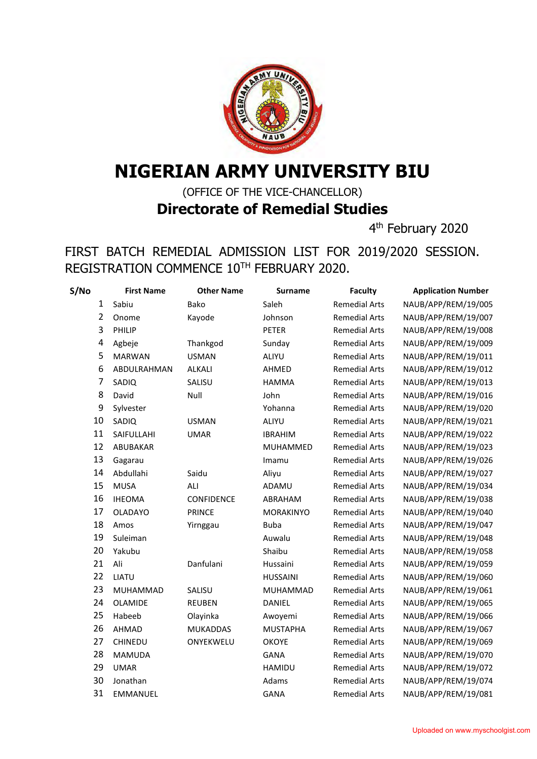

## **NIGERIAN ARMY UNIVERSITY BIU**

(OFFICE OF THE VICE-CHANCELLOR) **Directorate of Remedial Studies**

4<sup>th</sup> February 2020

## FIRST BATCH REMEDIAL ADMISSION LIST FOR 2019/2020 SESSION. REGISTRATION COMMENCE 10TH FEBRUARY 2020.

| S/No           | <b>First Name</b> | <b>Other Name</b> | <b>Surname</b>  | <b>Faculty</b>       | <b>Application Number</b> |
|----------------|-------------------|-------------------|-----------------|----------------------|---------------------------|
| $\mathbf{1}$   | Sabiu             | Bako              | Saleh           | <b>Remedial Arts</b> | NAUB/APP/REM/19/005       |
| $\overline{2}$ | Onome             | Kayode            | Johnson         | <b>Remedial Arts</b> | NAUB/APP/REM/19/007       |
| 3              | PHILIP            |                   | <b>PETER</b>    | <b>Remedial Arts</b> | NAUB/APP/REM/19/008       |
| 4              | Agbeje            | Thankgod          | Sunday          | <b>Remedial Arts</b> | NAUB/APP/REM/19/009       |
| 5              | <b>MARWAN</b>     | <b>USMAN</b>      | ALIYU           | <b>Remedial Arts</b> | NAUB/APP/REM/19/011       |
| 6              | ABDULRAHMAN       | <b>ALKALI</b>     | AHMED           | <b>Remedial Arts</b> | NAUB/APP/REM/19/012       |
| 7              | SADIQ             | SALISU            | <b>HAMMA</b>    | <b>Remedial Arts</b> | NAUB/APP/REM/19/013       |
| 8              | David             | Null              | John            | <b>Remedial Arts</b> | NAUB/APP/REM/19/016       |
| 9              | Sylvester         |                   | Yohanna         | <b>Remedial Arts</b> | NAUB/APP/REM/19/020       |
| 10             | SADIQ             | <b>USMAN</b>      | ALIYU           | <b>Remedial Arts</b> | NAUB/APP/REM/19/021       |
| 11             | SAIFULLAHI        | <b>UMAR</b>       | <b>IBRAHIM</b>  | <b>Remedial Arts</b> | NAUB/APP/REM/19/022       |
| 12             | ABUBAKAR          |                   | MUHAMMED        | <b>Remedial Arts</b> | NAUB/APP/REM/19/023       |
| 13             | Gagarau           |                   | Imamu           | <b>Remedial Arts</b> | NAUB/APP/REM/19/026       |
| 14             | Abdullahi         | Saidu             | Aliyu           | <b>Remedial Arts</b> | NAUB/APP/REM/19/027       |
| 15             | <b>MUSA</b>       | ALI               | ADAMU           | <b>Remedial Arts</b> | NAUB/APP/REM/19/034       |
| 16             | <b>IHEOMA</b>     | CONFIDENCE        | ABRAHAM         | <b>Remedial Arts</b> | NAUB/APP/REM/19/038       |
| 17             | <b>OLADAYO</b>    | <b>PRINCE</b>     | MORAKINYO       | <b>Remedial Arts</b> | NAUB/APP/REM/19/040       |
| 18             | Amos              | Yirnggau          | <b>Buba</b>     | <b>Remedial Arts</b> | NAUB/APP/REM/19/047       |
| 19             | Suleiman          |                   | Auwalu          | <b>Remedial Arts</b> | NAUB/APP/REM/19/048       |
| 20             | Yakubu            |                   | Shaibu          | <b>Remedial Arts</b> | NAUB/APP/REM/19/058       |
| 21             | Ali               | Danfulani         | Hussaini        | <b>Remedial Arts</b> | NAUB/APP/REM/19/059       |
| 22             | LIATU             |                   | <b>HUSSAINI</b> | <b>Remedial Arts</b> | NAUB/APP/REM/19/060       |
| 23             | MUHAMMAD          | SALISU            | MUHAMMAD        | <b>Remedial Arts</b> | NAUB/APP/REM/19/061       |
| 24             | OLAMIDE           | <b>REUBEN</b>     | <b>DANIEL</b>   | <b>Remedial Arts</b> | NAUB/APP/REM/19/065       |
| 25             | Habeeb            | Olayinka          | Awoyemi         | <b>Remedial Arts</b> | NAUB/APP/REM/19/066       |
| 26             | AHMAD             | <b>MUKADDAS</b>   | <b>MUSTAPHA</b> | <b>Remedial Arts</b> | NAUB/APP/REM/19/067       |
| 27             | <b>CHINEDU</b>    | ONYEKWELU         | <b>OKOYE</b>    | <b>Remedial Arts</b> | NAUB/APP/REM/19/069       |
| 28             | <b>MAMUDA</b>     |                   | <b>GANA</b>     | <b>Remedial Arts</b> | NAUB/APP/REM/19/070       |
| 29             | <b>UMAR</b>       |                   | <b>HAMIDU</b>   | <b>Remedial Arts</b> | NAUB/APP/REM/19/072       |
| 30             | Jonathan          |                   | Adams           | <b>Remedial Arts</b> | NAUB/APP/REM/19/074       |
| 31             | EMMANUEL          |                   | <b>GANA</b>     | <b>Remedial Arts</b> | NAUB/APP/REM/19/081       |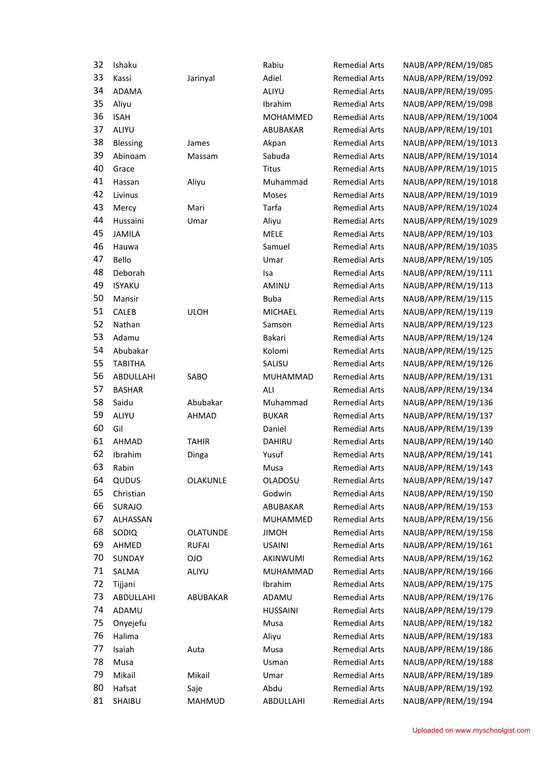| 32 | Ishaku         |                 | Rabiu           | <b>Remedial Arts</b> | NAUB/APP/REM/19/085  |
|----|----------------|-----------------|-----------------|----------------------|----------------------|
| 33 | Kassi          | Jarinyal        | Adiel           | <b>Remedial Arts</b> | NAUB/APP/REM/19/092  |
| 34 | <b>ADAMA</b>   |                 | ALIYU           | <b>Remedial Arts</b> | NAUB/APP/REM/19/095  |
| 35 | Aliyu          |                 | Ibrahim         | <b>Remedial Arts</b> | NAUB/APP/REM/19/098  |
| 36 | <b>ISAH</b>    |                 | MOHAMMED        | <b>Remedial Arts</b> | NAUB/APP/REM/19/1004 |
| 37 | ALIYU          |                 | ABUBAKAR        | <b>Remedial Arts</b> | NAUB/APP/REM/19/101  |
| 38 | Blessing       | James           | Akpan           | <b>Remedial Arts</b> | NAUB/APP/REM/19/1013 |
| 39 | Abinoam        | Massam          | Sabuda          | <b>Remedial Arts</b> | NAUB/APP/REM/19/1014 |
| 40 | Grace          |                 | <b>Titus</b>    | <b>Remedial Arts</b> | NAUB/APP/REM/19/1015 |
| 41 | Hassan         | Aliyu           | Muhammad        | <b>Remedial Arts</b> | NAUB/APP/REM/19/1018 |
| 42 | Livinus        |                 | Moses           | <b>Remedial Arts</b> | NAUB/APP/REM/19/1019 |
| 43 | Mercy          | Mari            | Tarfa           | <b>Remedial Arts</b> | NAUB/APP/REM/19/1024 |
| 44 | Hussaini       | Umar            | Aliyu           | <b>Remedial Arts</b> | NAUB/APP/REM/19/1029 |
| 45 | <b>JAMILA</b>  |                 | MELE            | <b>Remedial Arts</b> | NAUB/APP/REM/19/103  |
| 46 | Hauwa          |                 | Samuel          | <b>Remedial Arts</b> | NAUB/APP/REM/19/1035 |
| 47 | Bello          |                 | Umar            | <b>Remedial Arts</b> | NAUB/APP/REM/19/105  |
| 48 | Deborah        |                 | Isa             | <b>Remedial Arts</b> | NAUB/APP/REM/19/111  |
| 49 | <b>ISYAKU</b>  |                 | AMINU           | <b>Remedial Arts</b> | NAUB/APP/REM/19/113  |
| 50 | Mansir         |                 | <b>Buba</b>     | <b>Remedial Arts</b> | NAUB/APP/REM/19/115  |
| 51 | CALEB          | <b>ULOH</b>     | <b>MICHAEL</b>  | <b>Remedial Arts</b> | NAUB/APP/REM/19/119  |
| 52 | Nathan         |                 | Samson          | <b>Remedial Arts</b> | NAUB/APP/REM/19/123  |
| 53 | Adamu          |                 | Bakari          | <b>Remedial Arts</b> | NAUB/APP/REM/19/124  |
| 54 | Abubakar       |                 | Kolomi          | <b>Remedial Arts</b> | NAUB/APP/REM/19/125  |
| 55 | <b>TABITHA</b> |                 | SALISU          | <b>Remedial Arts</b> | NAUB/APP/REM/19/126  |
| 56 | ABDULLAHI      | SABO            | MUHAMMAD        | <b>Remedial Arts</b> | NAUB/APP/REM/19/131  |
| 57 | <b>BASHAR</b>  |                 | ALI             | <b>Remedial Arts</b> | NAUB/APP/REM/19/134  |
| 58 | Saidu          | Abubakar        | Muhammad        | <b>Remedial Arts</b> | NAUB/APP/REM/19/136  |
| 59 | ALIYU          | AHMAD           | <b>BUKAR</b>    | <b>Remedial Arts</b> | NAUB/APP/REM/19/137  |
| 60 | Gil            |                 | Daniel          | <b>Remedial Arts</b> | NAUB/APP/REM/19/139  |
| 61 | AHMAD          | <b>TAHIR</b>    | <b>DAHIRU</b>   | <b>Remedial Arts</b> | NAUB/APP/REM/19/140  |
| 62 | Ibrahim        | Dinga           | Yusuf           | <b>Remedial Arts</b> | NAUB/APP/REM/19/141  |
| 63 | Rabin          |                 | Musa            | <b>Remedial Arts</b> | NAUB/APP/REM/19/143  |
| 64 | QUDUS          | OLAKUNLE        | OLADOSU         | <b>Remedial Arts</b> | NAUB/APP/REM/19/147  |
| 65 | Christian      |                 | Godwin          | <b>Remedial Arts</b> | NAUB/APP/REM/19/150  |
| 66 | SURAJO         |                 | <b>ABUBAKAR</b> | <b>Remedial Arts</b> | NAUB/APP/REM/19/153  |
| 67 | ALHASSAN       |                 | <b>MUHAMMED</b> | <b>Remedial Arts</b> | NAUB/APP/REM/19/156  |
| 68 | SODIQ          | <b>OLATUNDE</b> | <b>JIMOH</b>    | <b>Remedial Arts</b> | NAUB/APP/REM/19/158  |
| 69 | AHMED          | <b>RUFAI</b>    | <b>USAINI</b>   | <b>Remedial Arts</b> | NAUB/APP/REM/19/161  |
| 70 | SUNDAY         | <b>OIO</b>      | AKINWUMI        | <b>Remedial Arts</b> | NAUB/APP/REM/19/162  |
| 71 | SALMA          | ALIYU           | MUHAMMAD        | <b>Remedial Arts</b> | NAUB/APP/REM/19/166  |
| 72 | Tijjani        |                 | Ibrahim         | <b>Remedial Arts</b> | NAUB/APP/REM/19/175  |
| 73 | ABDULLAHI      | ABUBAKAR        | ADAMU           | <b>Remedial Arts</b> | NAUB/APP/REM/19/176  |
| 74 | ADAMU          |                 | <b>HUSSAINI</b> | <b>Remedial Arts</b> | NAUB/APP/REM/19/179  |
| 75 | Onyejefu       |                 | Musa            | <b>Remedial Arts</b> | NAUB/APP/REM/19/182  |
| 76 | Halima         |                 | Aliyu           | <b>Remedial Arts</b> | NAUB/APP/REM/19/183  |
| 77 | Isaiah         | Auta            | Musa            | <b>Remedial Arts</b> | NAUB/APP/REM/19/186  |
| 78 | Musa           |                 | Usman           | <b>Remedial Arts</b> | NAUB/APP/REM/19/188  |
| 79 | Mikail         | Mikail          | Umar            | <b>Remedial Arts</b> | NAUB/APP/REM/19/189  |
| 80 | Hafsat         | Saje            | Abdu            | <b>Remedial Arts</b> | NAUB/APP/REM/19/192  |
| 81 | SHAIBU         | MAHMUD          | ABDULLAHI       | <b>Remedial Arts</b> | NAUB/APP/REM/19/194  |
|    |                |                 |                 |                      |                      |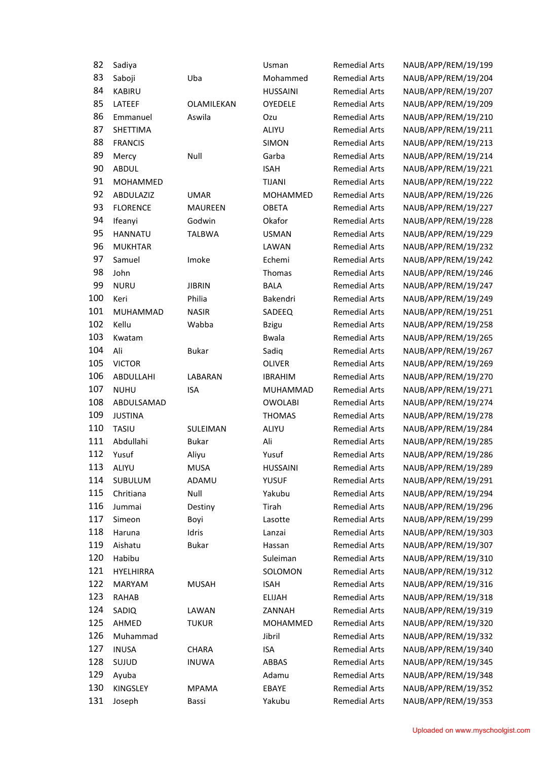| 82  | Sadiya          |                | Usman           | <b>Remedial Arts</b> | NAUB/APP/REM/19/199 |
|-----|-----------------|----------------|-----------------|----------------------|---------------------|
| 83  | Saboji          | Uba            | Mohammed        | <b>Remedial Arts</b> | NAUB/APP/REM/19/204 |
| 84  | <b>KABIRU</b>   |                | <b>HUSSAINI</b> | <b>Remedial Arts</b> | NAUB/APP/REM/19/207 |
| 85  | LATEEF          | OLAMILEKAN     | <b>OYEDELE</b>  | <b>Remedial Arts</b> | NAUB/APP/REM/19/209 |
| 86  | Emmanuel        | Aswila         | Ozu             | <b>Remedial Arts</b> | NAUB/APP/REM/19/210 |
| 87  | SHETTIMA        |                | ALIYU           | <b>Remedial Arts</b> | NAUB/APP/REM/19/211 |
| 88  | <b>FRANCIS</b>  |                | <b>SIMON</b>    | <b>Remedial Arts</b> | NAUB/APP/REM/19/213 |
| 89  | Mercy           | Null           | Garba           | <b>Remedial Arts</b> | NAUB/APP/REM/19/214 |
| 90  | <b>ABDUL</b>    |                | <b>ISAH</b>     | <b>Remedial Arts</b> | NAUB/APP/REM/19/221 |
| 91  | MOHAMMED        |                | <b>TIJANI</b>   | <b>Remedial Arts</b> | NAUB/APP/REM/19/222 |
| 92  | ABDULAZIZ       | <b>UMAR</b>    | MOHAMMED        | <b>Remedial Arts</b> | NAUB/APP/REM/19/226 |
| 93  | <b>FLORENCE</b> | <b>MAUREEN</b> | <b>OBETA</b>    | <b>Remedial Arts</b> | NAUB/APP/REM/19/227 |
| 94  | Ifeanyi         | Godwin         | Okafor          | <b>Remedial Arts</b> | NAUB/APP/REM/19/228 |
| 95  | <b>HANNATU</b>  | <b>TALBWA</b>  | <b>USMAN</b>    | <b>Remedial Arts</b> | NAUB/APP/REM/19/229 |
| 96  | <b>MUKHTAR</b>  |                | LAWAN           | <b>Remedial Arts</b> | NAUB/APP/REM/19/232 |
| 97  | Samuel          | Imoke          | Echemi          | <b>Remedial Arts</b> | NAUB/APP/REM/19/242 |
| 98  | John            |                | Thomas          | <b>Remedial Arts</b> | NAUB/APP/REM/19/246 |
| 99  | <b>NURU</b>     | <b>JIBRIN</b>  | <b>BALA</b>     | <b>Remedial Arts</b> | NAUB/APP/REM/19/247 |
| 100 | Keri            | Philia         | Bakendri        | <b>Remedial Arts</b> | NAUB/APP/REM/19/249 |
| 101 | MUHAMMAD        | <b>NASIR</b>   | SADEEQ          | <b>Remedial Arts</b> | NAUB/APP/REM/19/251 |
| 102 | Kellu           | Wabba          | <b>Bzigu</b>    | <b>Remedial Arts</b> | NAUB/APP/REM/19/258 |
| 103 | Kwatam          |                | <b>Bwala</b>    | <b>Remedial Arts</b> | NAUB/APP/REM/19/265 |
| 104 | Ali             | <b>Bukar</b>   | Sadiq           | <b>Remedial Arts</b> | NAUB/APP/REM/19/267 |
| 105 | <b>VICTOR</b>   |                | <b>OLIVER</b>   | <b>Remedial Arts</b> | NAUB/APP/REM/19/269 |
| 106 | ABDULLAHI       | LABARAN        | <b>IBRAHIM</b>  | <b>Remedial Arts</b> | NAUB/APP/REM/19/270 |
| 107 | <b>NUHU</b>     | <b>ISA</b>     | MUHAMMAD        | <b>Remedial Arts</b> | NAUB/APP/REM/19/271 |
| 108 | ABDULSAMAD      |                | <b>OWOLABI</b>  | <b>Remedial Arts</b> | NAUB/APP/REM/19/274 |
| 109 | <b>JUSTINA</b>  |                | <b>THOMAS</b>   | <b>Remedial Arts</b> | NAUB/APP/REM/19/278 |
| 110 | TASIU           | SULEIMAN       | ALIYU           | <b>Remedial Arts</b> | NAUB/APP/REM/19/284 |
| 111 | Abdullahi       | <b>Bukar</b>   | Ali             | <b>Remedial Arts</b> | NAUB/APP/REM/19/285 |
| 112 | Yusuf           | Aliyu          | Yusuf           | <b>Remedial Arts</b> | NAUB/APP/REM/19/286 |
| 113 | ALIYU           | <b>MUSA</b>    | <b>HUSSAINI</b> | <b>Remedial Arts</b> | NAUB/APP/REM/19/289 |
| 114 | SUBULUM         | ADAMU          | <b>YUSUF</b>    | <b>Remedial Arts</b> | NAUB/APP/REM/19/291 |
| 115 | Chritiana       | Null           | Yakubu          | <b>Remedial Arts</b> | NAUB/APP/REM/19/294 |
| 116 | Jummai          | Destiny        | Tirah           | <b>Remedial Arts</b> | NAUB/APP/REM/19/296 |
| 117 | Simeon          | Boyi           | Lasotte         | <b>Remedial Arts</b> | NAUB/APP/REM/19/299 |
| 118 | Haruna          | Idris          | Lanzai          | <b>Remedial Arts</b> | NAUB/APP/REM/19/303 |
| 119 | Aishatu         | Bukar          | Hassan          | <b>Remedial Arts</b> | NAUB/APP/REM/19/307 |
| 120 | Habibu          |                | Suleiman        | <b>Remedial Arts</b> | NAUB/APP/REM/19/310 |
| 121 | HYELHIRRA       |                | SOLOMON         | <b>Remedial Arts</b> | NAUB/APP/REM/19/312 |
| 122 | <b>MARYAM</b>   | <b>MUSAH</b>   | <b>ISAH</b>     | <b>Remedial Arts</b> | NAUB/APP/REM/19/316 |
| 123 | RAHAB           |                | <b>ELIJAH</b>   | <b>Remedial Arts</b> | NAUB/APP/REM/19/318 |
| 124 | SADIQ           | LAWAN          | ZANNAH          | <b>Remedial Arts</b> | NAUB/APP/REM/19/319 |
| 125 | AHMED           | <b>TUKUR</b>   | MOHAMMED        | <b>Remedial Arts</b> | NAUB/APP/REM/19/320 |
| 126 | Muhammad        |                | Jibril          | <b>Remedial Arts</b> | NAUB/APP/REM/19/332 |
| 127 | <b>INUSA</b>    | <b>CHARA</b>   | <b>ISA</b>      | <b>Remedial Arts</b> | NAUB/APP/REM/19/340 |
| 128 | SUJUD           | <b>INUWA</b>   | ABBAS           | <b>Remedial Arts</b> | NAUB/APP/REM/19/345 |
| 129 | Ayuba           |                | Adamu           | <b>Remedial Arts</b> | NAUB/APP/REM/19/348 |
| 130 | KINGSLEY        | <b>MPAMA</b>   | EBAYE           | <b>Remedial Arts</b> | NAUB/APP/REM/19/352 |
| 131 | Joseph          | Bassi          | Yakubu          | <b>Remedial Arts</b> | NAUB/APP/REM/19/353 |
|     |                 |                |                 |                      |                     |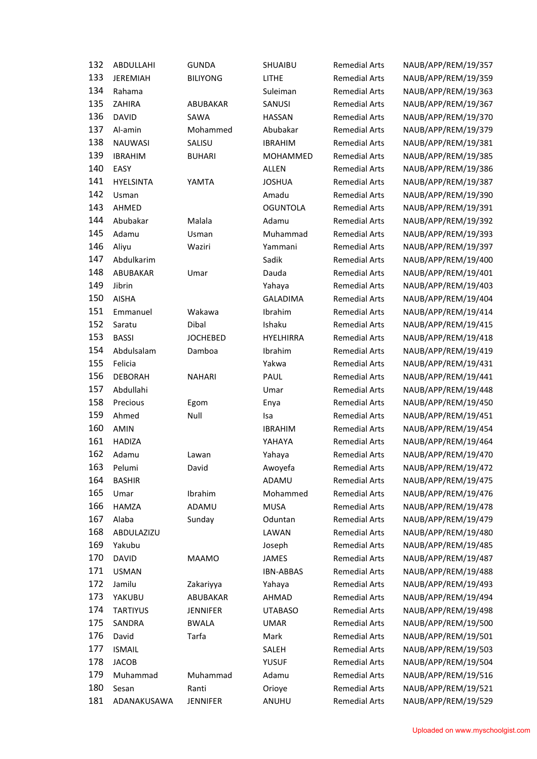| 132 | ABDULLAHI        | <b>GUNDA</b>    | SHUAIBU          | <b>Remedial Arts</b> | NAUB/APP/REM/19/357                        |
|-----|------------------|-----------------|------------------|----------------------|--------------------------------------------|
| 133 | <b>JEREMIAH</b>  | <b>BILIYONG</b> | <b>LITHE</b>     | <b>Remedial Arts</b> | NAUB/APP/REM/19/359                        |
| 134 | Rahama           |                 | Suleiman         | <b>Remedial Arts</b> | NAUB/APP/REM/19/363                        |
| 135 | ZAHIRA           | ABUBAKAR        | SANUSI           | <b>Remedial Arts</b> | NAUB/APP/REM/19/367                        |
| 136 | <b>DAVID</b>     | SAWA            | <b>HASSAN</b>    | <b>Remedial Arts</b> | NAUB/APP/REM/19/370                        |
| 137 | Al-amin          | Mohammed        | Abubakar         | <b>Remedial Arts</b> | NAUB/APP/REM/19/379                        |
| 138 | <b>NAUWASI</b>   | SALISU          | <b>IBRAHIM</b>   | <b>Remedial Arts</b> | NAUB/APP/REM/19/381                        |
| 139 | <b>IBRAHIM</b>   |                 | MOHAMMED         | <b>Remedial Arts</b> | NAUB/APP/REM/19/385                        |
| 140 | EASY             | <b>BUHARI</b>   | <b>ALLEN</b>     | <b>Remedial Arts</b> |                                            |
| 141 | <b>HYELSINTA</b> | YAMTA           | <b>JOSHUA</b>    | <b>Remedial Arts</b> | NAUB/APP/REM/19/386<br>NAUB/APP/REM/19/387 |
| 142 |                  |                 |                  |                      |                                            |
| 143 | Usman            |                 | Amadu            | <b>Remedial Arts</b> | NAUB/APP/REM/19/390                        |
| 144 | AHMED            |                 | <b>OGUNTOLA</b>  | <b>Remedial Arts</b> | NAUB/APP/REM/19/391                        |
|     | Abubakar         | Malala          | Adamu            | <b>Remedial Arts</b> | NAUB/APP/REM/19/392                        |
| 145 | Adamu            | Usman           | Muhammad         | <b>Remedial Arts</b> | NAUB/APP/REM/19/393                        |
| 146 | Aliyu            | Waziri          | Yammani          | <b>Remedial Arts</b> | NAUB/APP/REM/19/397                        |
| 147 | Abdulkarim       |                 | Sadik            | <b>Remedial Arts</b> | NAUB/APP/REM/19/400                        |
| 148 | ABUBAKAR         | Umar            | Dauda            | <b>Remedial Arts</b> | NAUB/APP/REM/19/401                        |
| 149 | Jibrin           |                 | Yahaya           | <b>Remedial Arts</b> | NAUB/APP/REM/19/403                        |
| 150 | <b>AISHA</b>     |                 | <b>GALADIMA</b>  | <b>Remedial Arts</b> | NAUB/APP/REM/19/404                        |
| 151 | Emmanuel         | Wakawa          | Ibrahim          | <b>Remedial Arts</b> | NAUB/APP/REM/19/414                        |
| 152 | Saratu           | Dibal           | Ishaku           | <b>Remedial Arts</b> | NAUB/APP/REM/19/415                        |
| 153 | <b>BASSI</b>     | <b>JOCHEBED</b> | <b>HYELHIRRA</b> | <b>Remedial Arts</b> | NAUB/APP/REM/19/418                        |
| 154 | Abdulsalam       | Damboa          | Ibrahim          | <b>Remedial Arts</b> | NAUB/APP/REM/19/419                        |
| 155 | Felicia          |                 | Yakwa            | <b>Remedial Arts</b> | NAUB/APP/REM/19/431                        |
| 156 | <b>DEBORAH</b>   | <b>NAHARI</b>   | PAUL             | <b>Remedial Arts</b> | NAUB/APP/REM/19/441                        |
| 157 | Abdullahi        |                 | Umar             | <b>Remedial Arts</b> | NAUB/APP/REM/19/448                        |
| 158 | Precious         | Egom            | Enya             | <b>Remedial Arts</b> | NAUB/APP/REM/19/450                        |
| 159 | Ahmed            | Null            | Isa              | <b>Remedial Arts</b> | NAUB/APP/REM/19/451                        |
| 160 | AMIN             |                 | <b>IBRAHIM</b>   | <b>Remedial Arts</b> | NAUB/APP/REM/19/454                        |
| 161 | <b>HADIZA</b>    |                 | YAHAYA           | <b>Remedial Arts</b> | NAUB/APP/REM/19/464                        |
| 162 | Adamu            | Lawan           | Yahaya           | <b>Remedial Arts</b> | NAUB/APP/REM/19/470                        |
| 163 | Pelumi           | David           | Awoyefa          | <b>Remedial Arts</b> | NAUB/APP/REM/19/472                        |
| 164 | <b>BASHIR</b>    |                 | ADAMU            | <b>Remedial Arts</b> | NAUB/APP/REM/19/475                        |
| 165 | Umar             | Ibrahim         | Mohammed         | <b>Remedial Arts</b> | NAUB/APP/REM/19/476                        |
| 166 | HAMZA            | ADAMU           | <b>MUSA</b>      | <b>Remedial Arts</b> | NAUB/APP/REM/19/478                        |
| 167 | Alaba            | Sunday          | Oduntan          | <b>Remedial Arts</b> | NAUB/APP/REM/19/479                        |
| 168 | ABDULAZIZU       |                 | LAWAN            | <b>Remedial Arts</b> | NAUB/APP/REM/19/480                        |
| 169 | Yakubu           |                 | Joseph           | <b>Remedial Arts</b> | NAUB/APP/REM/19/485                        |
| 170 | <b>DAVID</b>     | <b>MAAMO</b>    | <b>JAMES</b>     | <b>Remedial Arts</b> | NAUB/APP/REM/19/487                        |
| 171 | <b>USMAN</b>     |                 | <b>IBN-ABBAS</b> | <b>Remedial Arts</b> | NAUB/APP/REM/19/488                        |
| 172 | Jamilu           | Zakariyya       | Yahaya           | <b>Remedial Arts</b> | NAUB/APP/REM/19/493                        |
| 173 | YAKUBU           | ABUBAKAR        | AHMAD            | <b>Remedial Arts</b> | NAUB/APP/REM/19/494                        |
| 174 | <b>TARTIYUS</b>  | <b>JENNIFER</b> | UTABASO          | <b>Remedial Arts</b> | NAUB/APP/REM/19/498                        |
| 175 | SANDRA           | <b>BWALA</b>    | <b>UMAR</b>      | <b>Remedial Arts</b> | NAUB/APP/REM/19/500                        |
| 176 | David            | Tarfa           | Mark             | <b>Remedial Arts</b> | NAUB/APP/REM/19/501                        |
| 177 | <b>ISMAIL</b>    |                 | SALEH            | <b>Remedial Arts</b> | NAUB/APP/REM/19/503                        |
| 178 | <b>JACOB</b>     |                 | <b>YUSUF</b>     | <b>Remedial Arts</b> | NAUB/APP/REM/19/504                        |
| 179 | Muhammad         | Muhammad        | Adamu            | <b>Remedial Arts</b> | NAUB/APP/REM/19/516                        |
| 180 | Sesan            | Ranti           | Orioye           | <b>Remedial Arts</b> | NAUB/APP/REM/19/521                        |
| 181 | ADANAKUSAWA      | <b>JENNIFER</b> | ANUHU            | <b>Remedial Arts</b> | NAUB/APP/REM/19/529                        |
|     |                  |                 |                  |                      |                                            |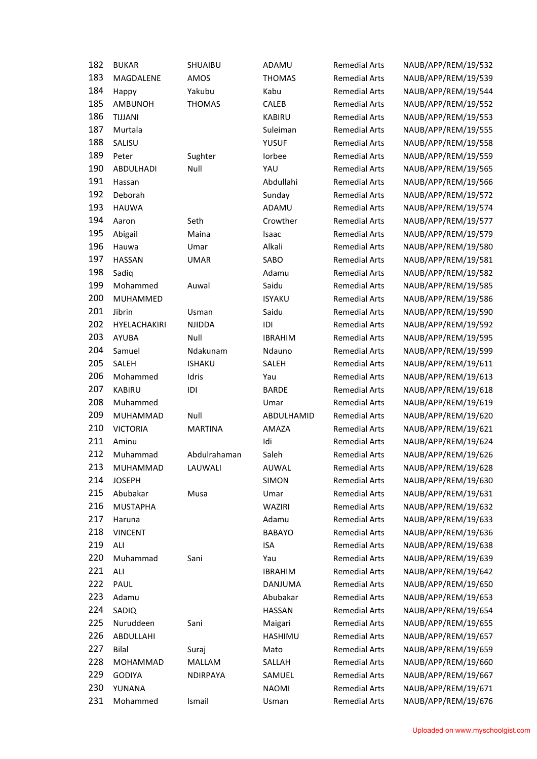| 182 | <b>BUKAR</b>    | SHUAIBU        | ADAMU          | <b>Remedial Arts</b> | NAUB/APP/REM/19/532 |
|-----|-----------------|----------------|----------------|----------------------|---------------------|
| 183 | MAGDALENE       | AMOS           | <b>THOMAS</b>  | <b>Remedial Arts</b> | NAUB/APP/REM/19/539 |
| 184 | Happy           | Yakubu         | Kabu           | <b>Remedial Arts</b> | NAUB/APP/REM/19/544 |
| 185 | <b>AMBUNOH</b>  | <b>THOMAS</b>  | CALEB          | <b>Remedial Arts</b> | NAUB/APP/REM/19/552 |
| 186 | TIJJANI         |                | <b>KABIRU</b>  | <b>Remedial Arts</b> | NAUB/APP/REM/19/553 |
| 187 | Murtala         |                | Suleiman       | <b>Remedial Arts</b> | NAUB/APP/REM/19/555 |
| 188 | SALISU          |                | <b>YUSUF</b>   | <b>Remedial Arts</b> | NAUB/APP/REM/19/558 |
| 189 | Peter           | Sughter        | Iorbee         | <b>Remedial Arts</b> | NAUB/APP/REM/19/559 |
| 190 | ABDULHADI       | Null           | YAU            | <b>Remedial Arts</b> | NAUB/APP/REM/19/565 |
| 191 | Hassan          |                | Abdullahi      | <b>Remedial Arts</b> | NAUB/APP/REM/19/566 |
| 192 | Deborah         |                | Sunday         | <b>Remedial Arts</b> | NAUB/APP/REM/19/572 |
| 193 | <b>HAUWA</b>    |                | ADAMU          | <b>Remedial Arts</b> | NAUB/APP/REM/19/574 |
| 194 | Aaron           | Seth           | Crowther       | <b>Remedial Arts</b> | NAUB/APP/REM/19/577 |
| 195 | Abigail         | Maina          | Isaac          | <b>Remedial Arts</b> | NAUB/APP/REM/19/579 |
| 196 | Hauwa           | Umar           | Alkali         | <b>Remedial Arts</b> | NAUB/APP/REM/19/580 |
| 197 | <b>HASSAN</b>   | <b>UMAR</b>    | SABO           | <b>Remedial Arts</b> | NAUB/APP/REM/19/581 |
| 198 | Sadiq           |                | Adamu          | <b>Remedial Arts</b> | NAUB/APP/REM/19/582 |
| 199 | Mohammed        | Auwal          | Saidu          | <b>Remedial Arts</b> | NAUB/APP/REM/19/585 |
| 200 | MUHAMMED        |                | <b>ISYAKU</b>  | <b>Remedial Arts</b> | NAUB/APP/REM/19/586 |
| 201 | Jibrin          | Usman          | Saidu          | <b>Remedial Arts</b> | NAUB/APP/REM/19/590 |
| 202 | HYELACHAKIRI    | <b>NJIDDA</b>  | IDI            | <b>Remedial Arts</b> | NAUB/APP/REM/19/592 |
| 203 | <b>AYUBA</b>    | Null           | <b>IBRAHIM</b> | <b>Remedial Arts</b> | NAUB/APP/REM/19/595 |
| 204 | Samuel          | Ndakunam       | Ndauno         | <b>Remedial Arts</b> | NAUB/APP/REM/19/599 |
| 205 | SALEH           | <b>ISHAKU</b>  | SALEH          | <b>Remedial Arts</b> | NAUB/APP/REM/19/611 |
| 206 | Mohammed        | Idris          | Yau            | <b>Remedial Arts</b> | NAUB/APP/REM/19/613 |
| 207 | <b>KABIRU</b>   | IDI            | <b>BARDE</b>   | <b>Remedial Arts</b> | NAUB/APP/REM/19/618 |
| 208 | Muhammed        |                | Umar           | <b>Remedial Arts</b> | NAUB/APP/REM/19/619 |
| 209 | <b>MUHAMMAD</b> | Null           | ABDULHAMID     | <b>Remedial Arts</b> | NAUB/APP/REM/19/620 |
| 210 | <b>VICTORIA</b> | <b>MARTINA</b> | AMAZA          | <b>Remedial Arts</b> | NAUB/APP/REM/19/621 |
| 211 | Aminu           |                | Idi            | <b>Remedial Arts</b> | NAUB/APP/REM/19/624 |
| 212 | Muhammad        | Abdulrahaman   | Saleh          | <b>Remedial Arts</b> | NAUB/APP/REM/19/626 |
| 213 |                 | LAUWALI        | AUWAL          | <b>Remedial Arts</b> | NAUB/APP/REM/19/628 |
| 214 | MUHAMMAD        |                |                |                      |                     |
| 215 | <b>JOSEPH</b>   |                | <b>SIMON</b>   | <b>Remedial Arts</b> | NAUB/APP/REM/19/630 |
|     | Abubakar        | Musa           | Umar           | <b>Remedial Arts</b> | NAUB/APP/REM/19/631 |
| 216 | <b>MUSTAPHA</b> |                | WAZIRI         | <b>Remedial Arts</b> | NAUB/APP/REM/19/632 |
| 217 | Haruna          |                | Adamu          | <b>Remedial Arts</b> | NAUB/APP/REM/19/633 |
| 218 | <b>VINCENT</b>  |                | <b>BABAYO</b>  | <b>Remedial Arts</b> | NAUB/APP/REM/19/636 |
| 219 | ALI             |                | <b>ISA</b>     | <b>Remedial Arts</b> | NAUB/APP/REM/19/638 |
| 220 | Muhammad        | Sani           | Yau            | <b>Remedial Arts</b> | NAUB/APP/REM/19/639 |
| 221 | ALI             |                | <b>IBRAHIM</b> | <b>Remedial Arts</b> | NAUB/APP/REM/19/642 |
| 222 | PAUL            |                | DANJUMA        | <b>Remedial Arts</b> | NAUB/APP/REM/19/650 |
| 223 | Adamu           |                | Abubakar       | <b>Remedial Arts</b> | NAUB/APP/REM/19/653 |
| 224 | SADIQ           |                | HASSAN         | <b>Remedial Arts</b> | NAUB/APP/REM/19/654 |
| 225 | Nuruddeen       | Sani           | Maigari        | <b>Remedial Arts</b> | NAUB/APP/REM/19/655 |
| 226 | ABDULLAHI       |                | HASHIMU        | <b>Remedial Arts</b> | NAUB/APP/REM/19/657 |
| 227 | <b>Bilal</b>    | Suraj          | Mato           | <b>Remedial Arts</b> | NAUB/APP/REM/19/659 |
| 228 | MOHAMMAD        | MALLAM         | SALLAH         | <b>Remedial Arts</b> | NAUB/APP/REM/19/660 |
| 229 | <b>GODIYA</b>   | NDIRPAYA       | SAMUEL         | <b>Remedial Arts</b> | NAUB/APP/REM/19/667 |
| 230 | YUNANA          |                | <b>NAOMI</b>   | <b>Remedial Arts</b> | NAUB/APP/REM/19/671 |
| 231 | Mohammed        | Ismail         | Usman          | <b>Remedial Arts</b> | NAUB/APP/REM/19/676 |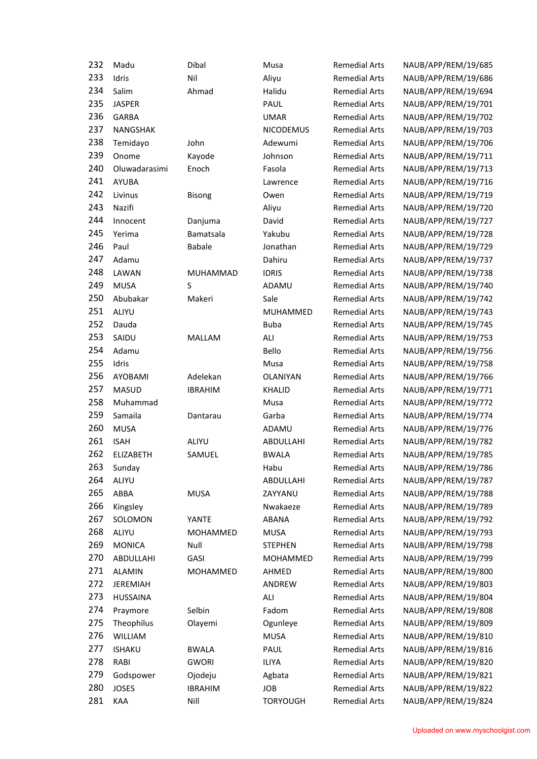| 232 | Madu             | Dibal          | Musa                 | <b>Remedial Arts</b> | NAUB/APP/REM/19/685 |
|-----|------------------|----------------|----------------------|----------------------|---------------------|
| 233 | Idris            | Nil            | Aliyu                | <b>Remedial Arts</b> | NAUB/APP/REM/19/686 |
| 234 | Salim            | Ahmad          | Halidu               | <b>Remedial Arts</b> | NAUB/APP/REM/19/694 |
| 235 | <b>JASPER</b>    |                | PAUL                 | <b>Remedial Arts</b> | NAUB/APP/REM/19/701 |
| 236 | <b>GARBA</b>     |                | <b>UMAR</b>          | <b>Remedial Arts</b> | NAUB/APP/REM/19/702 |
| 237 | NANGSHAK         |                | <b>NICODEMUS</b>     | <b>Remedial Arts</b> | NAUB/APP/REM/19/703 |
| 238 | Temidayo         | John           | Adewumi              | <b>Remedial Arts</b> | NAUB/APP/REM/19/706 |
| 239 | Onome            | Kayode         | Johnson              | <b>Remedial Arts</b> | NAUB/APP/REM/19/711 |
| 240 | Oluwadarasimi    | Enoch          | Fasola               | <b>Remedial Arts</b> | NAUB/APP/REM/19/713 |
| 241 | AYUBA            |                | Lawrence             | <b>Remedial Arts</b> | NAUB/APP/REM/19/716 |
| 242 | Livinus          | <b>Bisong</b>  | Owen                 | <b>Remedial Arts</b> | NAUB/APP/REM/19/719 |
| 243 | Nazifi           |                | Aliyu                | <b>Remedial Arts</b> | NAUB/APP/REM/19/720 |
| 244 | Innocent         | Danjuma        | David                | <b>Remedial Arts</b> | NAUB/APP/REM/19/727 |
| 245 | Yerima           | Bamatsala      | Yakubu               | <b>Remedial Arts</b> | NAUB/APP/REM/19/728 |
| 246 | Paul             | <b>Babale</b>  | Jonathan             | <b>Remedial Arts</b> | NAUB/APP/REM/19/729 |
| 247 | Adamu            |                | Dahiru               | <b>Remedial Arts</b> | NAUB/APP/REM/19/737 |
| 248 | LAWAN            | MUHAMMAD       | <b>IDRIS</b>         | <b>Remedial Arts</b> | NAUB/APP/REM/19/738 |
| 249 | <b>MUSA</b>      | S              | <b>ADAMU</b>         | <b>Remedial Arts</b> | NAUB/APP/REM/19/740 |
| 250 | Abubakar         | Makeri         | Sale                 | <b>Remedial Arts</b> | NAUB/APP/REM/19/742 |
| 251 | ALIYU            |                | MUHAMMED             | <b>Remedial Arts</b> | NAUB/APP/REM/19/743 |
| 252 | Dauda            |                | <b>Buba</b>          | <b>Remedial Arts</b> | NAUB/APP/REM/19/745 |
| 253 | SAIDU            | MALLAM         | ALI                  | <b>Remedial Arts</b> | NAUB/APP/REM/19/753 |
| 254 | Adamu            |                | Bello                | <b>Remedial Arts</b> | NAUB/APP/REM/19/756 |
| 255 | Idris            |                | Musa                 | <b>Remedial Arts</b> | NAUB/APP/REM/19/758 |
| 256 | AYOBAMI          | Adelekan       | <b>OLANIYAN</b>      | <b>Remedial Arts</b> | NAUB/APP/REM/19/766 |
| 257 | <b>MASUD</b>     | <b>IBRAHIM</b> | <b>KHALID</b>        | <b>Remedial Arts</b> | NAUB/APP/REM/19/771 |
| 258 | Muhammad         |                | Musa                 | <b>Remedial Arts</b> | NAUB/APP/REM/19/772 |
| 259 | Samaila          | Dantarau       | Garba                | <b>Remedial Arts</b> | NAUB/APP/REM/19/774 |
| 260 | <b>MUSA</b>      |                | ADAMU                | <b>Remedial Arts</b> | NAUB/APP/REM/19/776 |
| 261 | <b>ISAH</b>      | ALIYU          | ABDULLAHI            | <b>Remedial Arts</b> | NAUB/APP/REM/19/782 |
| 262 | <b>ELIZABETH</b> | SAMUEL         | <b>BWALA</b>         | <b>Remedial Arts</b> | NAUB/APP/REM/19/785 |
| 263 | Sunday           |                | Habu                 | <b>Remedial Arts</b> | NAUB/APP/REM/19/786 |
| 264 | ALIYU            |                | ABDULLAHI            | <b>Remedial Arts</b> | NAUB/APP/REM/19/787 |
| 265 | ABBA             | <b>MUSA</b>    | ZAYYANU              | <b>Remedial Arts</b> | NAUB/APP/REM/19/788 |
| 266 | Kingsley         |                | Nwakaeze             | <b>Remedial Arts</b> | NAUB/APP/REM/19/789 |
| 267 | SOLOMON          | YANTE          |                      | <b>Remedial Arts</b> | NAUB/APP/REM/19/792 |
| 268 | ALIYU            |                | ABANA<br><b>MUSA</b> |                      |                     |
| 269 |                  | MOHAMMED       |                      | <b>Remedial Arts</b> | NAUB/APP/REM/19/793 |
|     | <b>MONICA</b>    | Null           | <b>STEPHEN</b>       | <b>Remedial Arts</b> | NAUB/APP/REM/19/798 |
| 270 | ABDULLAHI        | GASI           | <b>MOHAMMED</b>      | <b>Remedial Arts</b> | NAUB/APP/REM/19/799 |
| 271 | <b>ALAMIN</b>    | MOHAMMED       | AHMED                | <b>Remedial Arts</b> | NAUB/APP/REM/19/800 |
| 272 | <b>JEREMIAH</b>  |                | ANDREW               | <b>Remedial Arts</b> | NAUB/APP/REM/19/803 |
| 273 | <b>HUSSAINA</b>  |                | ALI                  | <b>Remedial Arts</b> | NAUB/APP/REM/19/804 |
| 274 | Praymore         | Selbin         | Fadom                | <b>Remedial Arts</b> | NAUB/APP/REM/19/808 |
| 275 | Theophilus       | Olayemi        | Ogunleye             | <b>Remedial Arts</b> | NAUB/APP/REM/19/809 |
| 276 | <b>WILLIAM</b>   |                | <b>MUSA</b>          | <b>Remedial Arts</b> | NAUB/APP/REM/19/810 |
| 277 | <b>ISHAKU</b>    | <b>BWALA</b>   | PAUL                 | <b>Remedial Arts</b> | NAUB/APP/REM/19/816 |
| 278 | RABI             | <b>GWORI</b>   | <b>ILIYA</b>         | <b>Remedial Arts</b> | NAUB/APP/REM/19/820 |
| 279 | Godspower        | Ojodeju        | Agbata               | <b>Remedial Arts</b> | NAUB/APP/REM/19/821 |
| 280 | <b>JOSES</b>     | <b>IBRAHIM</b> | JOB                  | <b>Remedial Arts</b> | NAUB/APP/REM/19/822 |
| 281 | KAA              | Nill           | <b>TORYOUGH</b>      | <b>Remedial Arts</b> | NAUB/APP/REM/19/824 |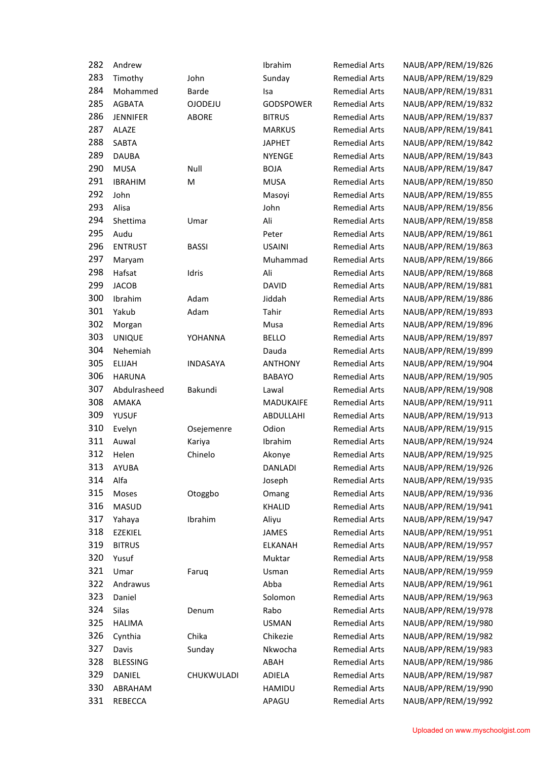| 282 | Andrew          |                 | Ibrahim          | <b>Remedial Arts</b> | NAUB/APP/REM/19/826 |
|-----|-----------------|-----------------|------------------|----------------------|---------------------|
| 283 | Timothy         | John            | Sunday           | <b>Remedial Arts</b> | NAUB/APP/REM/19/829 |
| 284 | Mohammed        | <b>Barde</b>    | Isa              | <b>Remedial Arts</b> | NAUB/APP/REM/19/831 |
| 285 | <b>AGBATA</b>   | <b>OJODEJU</b>  | <b>GODSPOWER</b> | <b>Remedial Arts</b> | NAUB/APP/REM/19/832 |
| 286 | <b>JENNIFER</b> | <b>ABORE</b>    | <b>BITRUS</b>    | <b>Remedial Arts</b> | NAUB/APP/REM/19/837 |
| 287 | <b>ALAZE</b>    |                 | <b>MARKUS</b>    | <b>Remedial Arts</b> | NAUB/APP/REM/19/841 |
| 288 | <b>SABTA</b>    |                 | <b>JAPHET</b>    | <b>Remedial Arts</b> | NAUB/APP/REM/19/842 |
| 289 | <b>DAUBA</b>    |                 | <b>NYENGE</b>    | <b>Remedial Arts</b> | NAUB/APP/REM/19/843 |
| 290 | <b>MUSA</b>     | Null            | <b>BOJA</b>      | <b>Remedial Arts</b> | NAUB/APP/REM/19/847 |
| 291 | <b>IBRAHIM</b>  | M               | <b>MUSA</b>      | <b>Remedial Arts</b> | NAUB/APP/REM/19/850 |
| 292 | John            |                 | Masoyi           | <b>Remedial Arts</b> | NAUB/APP/REM/19/855 |
| 293 | Alisa           |                 | John             | <b>Remedial Arts</b> | NAUB/APP/REM/19/856 |
| 294 | Shettima        | Umar            | Ali              | <b>Remedial Arts</b> | NAUB/APP/REM/19/858 |
| 295 | Audu            |                 | Peter            | <b>Remedial Arts</b> | NAUB/APP/REM/19/861 |
| 296 | <b>ENTRUST</b>  | <b>BASSI</b>    | <b>USAINI</b>    | <b>Remedial Arts</b> | NAUB/APP/REM/19/863 |
| 297 | Maryam          |                 | Muhammad         | <b>Remedial Arts</b> | NAUB/APP/REM/19/866 |
| 298 | Hafsat          | Idris           | Ali              | <b>Remedial Arts</b> | NAUB/APP/REM/19/868 |
| 299 | <b>JACOB</b>    |                 | <b>DAVID</b>     | <b>Remedial Arts</b> | NAUB/APP/REM/19/881 |
| 300 | Ibrahim         | Adam            | Jiddah           | <b>Remedial Arts</b> | NAUB/APP/REM/19/886 |
| 301 | Yakub           | Adam            | Tahir            | <b>Remedial Arts</b> | NAUB/APP/REM/19/893 |
| 302 | Morgan          |                 | Musa             | <b>Remedial Arts</b> | NAUB/APP/REM/19/896 |
| 303 | <b>UNIQUE</b>   | YOHANNA         | <b>BELLO</b>     | <b>Remedial Arts</b> | NAUB/APP/REM/19/897 |
| 304 | Nehemiah        |                 | Dauda            | <b>Remedial Arts</b> | NAUB/APP/REM/19/899 |
| 305 | <b>ELIJAH</b>   | <b>INDASAYA</b> | <b>ANTHONY</b>   | <b>Remedial Arts</b> | NAUB/APP/REM/19/904 |
| 306 | <b>HARUNA</b>   |                 | <b>BABAYO</b>    | <b>Remedial Arts</b> | NAUB/APP/REM/19/905 |
| 307 | Abdulrasheed    | Bakundi         | Lawal            | <b>Remedial Arts</b> | NAUB/APP/REM/19/908 |
| 308 | AMAKA           |                 | MADUKAIFE        | <b>Remedial Arts</b> | NAUB/APP/REM/19/911 |
| 309 | <b>YUSUF</b>    |                 | ABDULLAHI        | <b>Remedial Arts</b> | NAUB/APP/REM/19/913 |
| 310 | Evelyn          | Osejemenre      | Odion            | <b>Remedial Arts</b> | NAUB/APP/REM/19/915 |
| 311 | Auwal           | Kariya          | Ibrahim          | <b>Remedial Arts</b> | NAUB/APP/REM/19/924 |
| 312 | Helen           | Chinelo         | Akonye           | <b>Remedial Arts</b> | NAUB/APP/REM/19/925 |
| 313 | <b>AYUBA</b>    |                 | <b>DANLADI</b>   | <b>Remedial Arts</b> | NAUB/APP/REM/19/926 |
| 314 | Alfa            |                 | Joseph           | <b>Remedial Arts</b> | NAUB/APP/REM/19/935 |
| 315 | Moses           | Otoggbo         | Omang            | <b>Remedial Arts</b> | NAUB/APP/REM/19/936 |
| 316 | <b>MASUD</b>    |                 | KHALID           | <b>Remedial Arts</b> | NAUB/APP/REM/19/941 |
| 317 | Yahaya          | Ibrahim         | Aliyu            | <b>Remedial Arts</b> | NAUB/APP/REM/19/947 |
| 318 | <b>EZEKIEL</b>  |                 | <b>JAMES</b>     | <b>Remedial Arts</b> | NAUB/APP/REM/19/951 |
| 319 | <b>BITRUS</b>   |                 | <b>ELKANAH</b>   | <b>Remedial Arts</b> | NAUB/APP/REM/19/957 |
| 320 | Yusuf           |                 | Muktar           | <b>Remedial Arts</b> | NAUB/APP/REM/19/958 |
| 321 | Umar            | Faruq           | Usman            | <b>Remedial Arts</b> | NAUB/APP/REM/19/959 |
| 322 | Andrawus        |                 | Abba             | <b>Remedial Arts</b> | NAUB/APP/REM/19/961 |
| 323 | Daniel          |                 | Solomon          | <b>Remedial Arts</b> | NAUB/APP/REM/19/963 |
| 324 | Silas           | Denum           | Rabo             | <b>Remedial Arts</b> | NAUB/APP/REM/19/978 |
| 325 | <b>HALIMA</b>   |                 | <b>USMAN</b>     | <b>Remedial Arts</b> | NAUB/APP/REM/19/980 |
| 326 | Cynthia         | Chika           | Chikezie         | <b>Remedial Arts</b> | NAUB/APP/REM/19/982 |
| 327 | Davis           | Sunday          | Nkwocha          | <b>Remedial Arts</b> | NAUB/APP/REM/19/983 |
| 328 | <b>BLESSING</b> |                 | ABAH             | <b>Remedial Arts</b> | NAUB/APP/REM/19/986 |
| 329 | DANIEL          | CHUKWULADI      | ADIELA           | <b>Remedial Arts</b> | NAUB/APP/REM/19/987 |
| 330 | ABRAHAM         |                 | HAMIDU           | <b>Remedial Arts</b> | NAUB/APP/REM/19/990 |
| 331 | REBECCA         |                 | APAGU            | <b>Remedial Arts</b> | NAUB/APP/REM/19/992 |
|     |                 |                 |                  |                      |                     |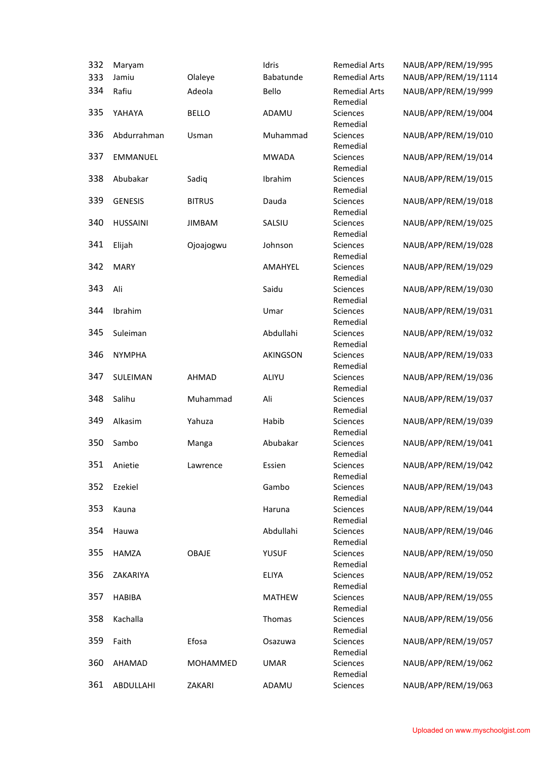| 332 | Maryam          |               | Idris         | <b>Remedial Arts</b>             | NAUB/APP/REM/19/995  |
|-----|-----------------|---------------|---------------|----------------------------------|----------------------|
| 333 | Jamiu           | Olaleye       | Babatunde     | <b>Remedial Arts</b>             | NAUB/APP/REM/19/1114 |
| 334 | Rafiu           | Adeola        | Bello         | <b>Remedial Arts</b><br>Remedial | NAUB/APP/REM/19/999  |
| 335 | YAHAYA          | <b>BELLO</b>  | ADAMU         | Sciences<br>Remedial             | NAUB/APP/REM/19/004  |
| 336 | Abdurrahman     | Usman         | Muhammad      | Sciences<br>Remedial             | NAUB/APP/REM/19/010  |
| 337 | <b>EMMANUEL</b> |               | <b>MWADA</b>  | Sciences<br>Remedial             | NAUB/APP/REM/19/014  |
| 338 | Abubakar        | Sadiq         | Ibrahim       | Sciences<br>Remedial             | NAUB/APP/REM/19/015  |
| 339 | <b>GENESIS</b>  | <b>BITRUS</b> | Dauda         | Sciences<br>Remedial             | NAUB/APP/REM/19/018  |
| 340 | <b>HUSSAINI</b> | <b>JIMBAM</b> | SALSIU        | Sciences<br>Remedial             | NAUB/APP/REM/19/025  |
| 341 | Elijah          | Ojoajogwu     | Johnson       | Sciences<br>Remedial             | NAUB/APP/REM/19/028  |
| 342 | <b>MARY</b>     |               | AMAHYEL       | Sciences<br>Remedial             | NAUB/APP/REM/19/029  |
| 343 | Ali             |               | Saidu         | Sciences<br>Remedial             | NAUB/APP/REM/19/030  |
| 344 | Ibrahim         |               | Umar          | Sciences<br>Remedial             | NAUB/APP/REM/19/031  |
| 345 | Suleiman        |               | Abdullahi     | Sciences<br>Remedial             | NAUB/APP/REM/19/032  |
| 346 | <b>NYMPHA</b>   |               | AKINGSON      | Sciences<br>Remedial             | NAUB/APP/REM/19/033  |
| 347 | SULEIMAN        | <b>AHMAD</b>  | ALIYU         | Sciences<br>Remedial             | NAUB/APP/REM/19/036  |
| 348 | Salihu          | Muhammad      | Ali           | Sciences<br>Remedial             | NAUB/APP/REM/19/037  |
| 349 | Alkasim         | Yahuza        | Habib         | Sciences<br>Remedial             | NAUB/APP/REM/19/039  |
| 350 | Sambo           | Manga         | Abubakar      | Sciences<br>Remedial             | NAUB/APP/REM/19/041  |
| 351 | Anietie         | Lawrence      | Essien        | Sciences<br>Remedial             | NAUB/APP/REM/19/042  |
| 352 | Ezekiel         |               | Gambo         | Sciences<br>Remedial             | NAUB/APP/REM/19/043  |
| 353 | Kauna           |               | Haruna        | Sciences<br>Remedial             | NAUB/APP/REM/19/044  |
| 354 | Hauwa           |               | Abdullahi     | Sciences<br>Remedial             | NAUB/APP/REM/19/046  |
| 355 | <b>HAMZA</b>    | OBAJE         | <b>YUSUF</b>  | <b>Sciences</b><br>Remedial      | NAUB/APP/REM/19/050  |
| 356 | ZAKARIYA        |               | <b>ELIYA</b>  | <b>Sciences</b><br>Remedial      | NAUB/APP/REM/19/052  |
| 357 | <b>HABIBA</b>   |               | <b>MATHEW</b> | Sciences<br>Remedial             | NAUB/APP/REM/19/055  |
| 358 | Kachalla        |               | Thomas        | Sciences<br>Remedial             | NAUB/APP/REM/19/056  |
| 359 | Faith           | Efosa         | Osazuwa       | Sciences<br>Remedial             | NAUB/APP/REM/19/057  |
| 360 | AHAMAD          | MOHAMMED      | <b>UMAR</b>   | Sciences<br>Remedial             | NAUB/APP/REM/19/062  |
| 361 | ABDULLAHI       | ZAKARI        | ADAMU         | Sciences                         | NAUB/APP/REM/19/063  |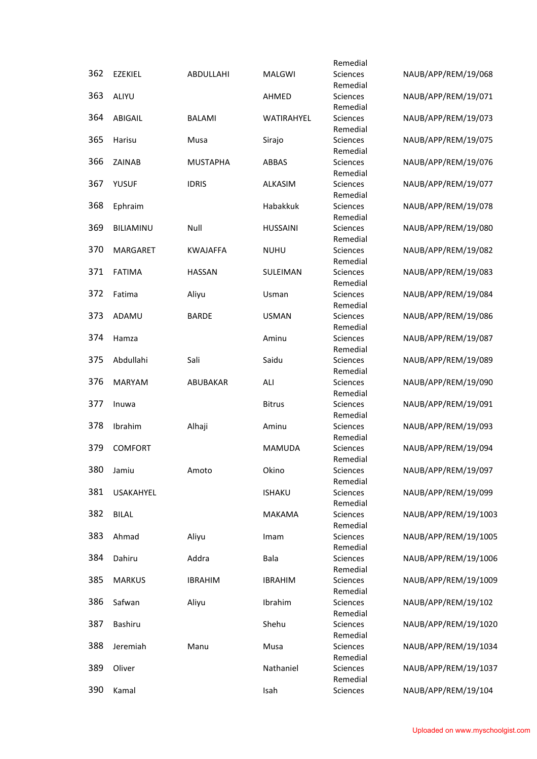|     |                  |                 |                 | Remedial             |                      |
|-----|------------------|-----------------|-----------------|----------------------|----------------------|
| 362 | <b>EZEKIEL</b>   | ABDULLAHI       | <b>MALGWI</b>   | Sciences             | NAUB/APP/REM/19/068  |
|     |                  |                 |                 | Remedial             |                      |
| 363 | ALIYU            |                 | AHMED           | Sciences             | NAUB/APP/REM/19/071  |
| 364 | ABIGAIL          | <b>BALAMI</b>   | WATIRAHYEL      | Remedial<br>Sciences | NAUB/APP/REM/19/073  |
|     |                  |                 |                 | Remedial             |                      |
| 365 | Harisu           | Musa            | Sirajo          | Sciences             | NAUB/APP/REM/19/075  |
|     |                  |                 |                 | Remedial             |                      |
| 366 | ZAINAB           | <b>MUSTAPHA</b> | ABBAS           | Sciences             | NAUB/APP/REM/19/076  |
| 367 | <b>YUSUF</b>     | <b>IDRIS</b>    | ALKASIM         | Remedial<br>Sciences | NAUB/APP/REM/19/077  |
|     |                  |                 |                 | Remedial             |                      |
| 368 | Ephraim          |                 | Habakkuk        | Sciences             | NAUB/APP/REM/19/078  |
|     |                  |                 |                 | Remedial             |                      |
| 369 | BILIAMINU        | Null            | <b>HUSSAINI</b> | Sciences             | NAUB/APP/REM/19/080  |
| 370 | MARGARET         | <b>KWAJAFFA</b> | <b>NUHU</b>     | Remedial<br>Sciences | NAUB/APP/REM/19/082  |
|     |                  |                 |                 | Remedial             |                      |
| 371 | <b>FATIMA</b>    | <b>HASSAN</b>   | SULEIMAN        | Sciences             | NAUB/APP/REM/19/083  |
|     |                  |                 |                 | Remedial             |                      |
| 372 | Fatima           | Aliyu           | Usman           | Sciences             | NAUB/APP/REM/19/084  |
|     |                  |                 |                 | Remedial             |                      |
| 373 | ADAMU            | <b>BARDE</b>    | <b>USMAN</b>    | Sciences<br>Remedial | NAUB/APP/REM/19/086  |
| 374 | Hamza            |                 | Aminu           | Sciences             | NAUB/APP/REM/19/087  |
|     |                  |                 |                 | Remedial             |                      |
| 375 | Abdullahi        | Sali            | Saidu           | Sciences             | NAUB/APP/REM/19/089  |
|     |                  |                 |                 | Remedial             |                      |
| 376 | <b>MARYAM</b>    | ABUBAKAR        | ALI             | Sciences             | NAUB/APP/REM/19/090  |
| 377 | Inuwa            |                 | <b>Bitrus</b>   | Remedial<br>Sciences | NAUB/APP/REM/19/091  |
|     |                  |                 |                 | Remedial             |                      |
| 378 | Ibrahim          | Alhaji          | Aminu           | Sciences             | NAUB/APP/REM/19/093  |
|     |                  |                 |                 | Remedial             |                      |
| 379 | <b>COMFORT</b>   |                 | <b>MAMUDA</b>   | Sciences             | NAUB/APP/REM/19/094  |
| 380 | Jamiu            | Amoto           | Okino           | Remedial<br>Sciences | NAUB/APP/REM/19/097  |
|     |                  |                 |                 | Remedial             |                      |
| 381 | <b>USAKAHYEL</b> |                 | <b>ISHAKU</b>   | Sciences             | NAUB/APP/REM/19/099  |
|     |                  |                 |                 | Remedial             |                      |
| 382 | <b>BILAL</b>     |                 | <b>MAKAMA</b>   | Sciences             | NAUB/APP/REM/19/1003 |
| 383 | Ahmad            | Aliyu           | Imam            | Remedial<br>Sciences | NAUB/APP/REM/19/1005 |
|     |                  |                 |                 | Remedial             |                      |
| 384 | Dahiru           | Addra           | Bala            | Sciences             | NAUB/APP/REM/19/1006 |
|     |                  |                 |                 | Remedial             |                      |
| 385 | <b>MARKUS</b>    | <b>IBRAHIM</b>  | <b>IBRAHIM</b>  | Sciences             | NAUB/APP/REM/19/1009 |
| 386 | Safwan           | Aliyu           | Ibrahim         | Remedial<br>Sciences | NAUB/APP/REM/19/102  |
|     |                  |                 |                 | Remedial             |                      |
| 387 | Bashiru          |                 | Shehu           | Sciences             | NAUB/APP/REM/19/1020 |
|     |                  |                 |                 | Remedial             |                      |
| 388 | Jeremiah         | Manu            | Musa            | Sciences             | NAUB/APP/REM/19/1034 |
| 389 |                  |                 |                 | Remedial             |                      |
|     | Oliver           |                 | Nathaniel       | Sciences<br>Remedial | NAUB/APP/REM/19/1037 |
| 390 | Kamal            |                 | Isah            | Sciences             | NAUB/APP/REM/19/104  |
|     |                  |                 |                 |                      |                      |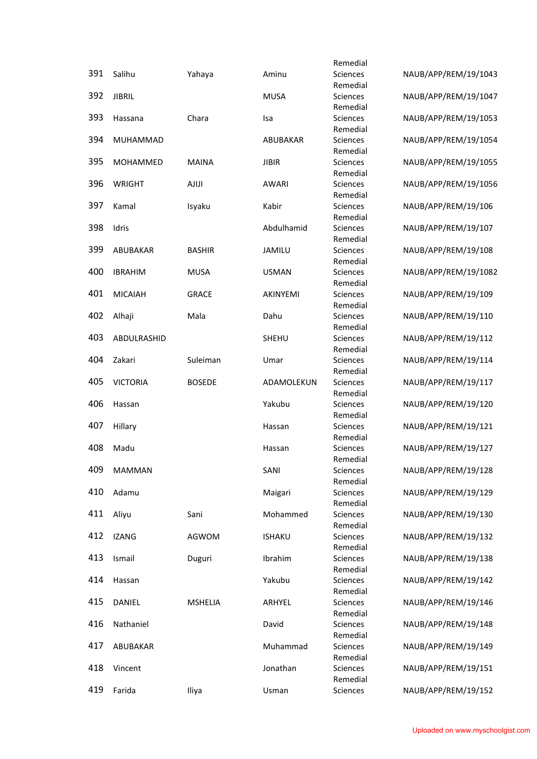|     |                 |                |               | Remedial             |                      |
|-----|-----------------|----------------|---------------|----------------------|----------------------|
| 391 | Salihu          | Yahaya         | Aminu         | Sciences             | NAUB/APP/REM/19/1043 |
|     |                 |                |               | Remedial             |                      |
| 392 | <b>JIBRIL</b>   |                | <b>MUSA</b>   | Sciences             | NAUB/APP/REM/19/1047 |
|     |                 |                |               | Remedial             |                      |
| 393 | Hassana         | Chara          | Isa           | Sciences             | NAUB/APP/REM/19/1053 |
| 394 | MUHAMMAD        |                | ABUBAKAR      | Remedial<br>Sciences | NAUB/APP/REM/19/1054 |
|     |                 |                |               | Remedial             |                      |
| 395 | MOHAMMED        | <b>MAINA</b>   | <b>JIBIR</b>  | Sciences             | NAUB/APP/REM/19/1055 |
|     |                 |                |               | Remedial             |                      |
| 396 | <b>WRIGHT</b>   | <b>AJIJI</b>   | <b>AWARI</b>  | Sciences             | NAUB/APP/REM/19/1056 |
|     |                 |                |               | Remedial             |                      |
| 397 | Kamal           | Isyaku         | Kabir         | Sciences             | NAUB/APP/REM/19/106  |
|     |                 |                |               | Remedial             |                      |
| 398 | Idris           |                | Abdulhamid    | Sciences             | NAUB/APP/REM/19/107  |
|     |                 |                |               | Remedial             |                      |
| 399 | ABUBAKAR        | <b>BASHIR</b>  | JAMILU        | Sciences             | NAUB/APP/REM/19/108  |
| 400 | <b>IBRAHIM</b>  | <b>MUSA</b>    | <b>USMAN</b>  | Remedial<br>Sciences | NAUB/APP/REM/19/1082 |
|     |                 |                |               | Remedial             |                      |
| 401 | <b>MICAIAH</b>  | <b>GRACE</b>   | AKINYEMI      | Sciences             | NAUB/APP/REM/19/109  |
|     |                 |                |               | Remedial             |                      |
| 402 | Alhaji          | Mala           | Dahu          | Sciences             | NAUB/APP/REM/19/110  |
|     |                 |                |               | Remedial             |                      |
| 403 | ABDULRASHID     |                | <b>SHEHU</b>  | Sciences             | NAUB/APP/REM/19/112  |
|     |                 |                |               | Remedial             |                      |
| 404 | Zakari          | Suleiman       | Umar          | Sciences             | NAUB/APP/REM/19/114  |
|     |                 |                |               | Remedial             |                      |
| 405 | <b>VICTORIA</b> | <b>BOSEDE</b>  | ADAMOLEKUN    | Sciences             | NAUB/APP/REM/19/117  |
|     |                 |                |               | Remedial             |                      |
| 406 | Hassan          |                | Yakubu        | Sciences<br>Remedial | NAUB/APP/REM/19/120  |
| 407 | Hillary         |                | Hassan        | Sciences             | NAUB/APP/REM/19/121  |
|     |                 |                |               | Remedial             |                      |
| 408 | Madu            |                | Hassan        | Sciences             | NAUB/APP/REM/19/127  |
|     |                 |                |               | Remedial             |                      |
| 409 | <b>MAMMAN</b>   |                | SANI          | Sciences             | NAUB/APP/REM/19/128  |
|     |                 |                |               | Remedial             |                      |
| 410 | Adamu           |                | Maigari       | Sciences             | NAUB/APP/REM/19/129  |
|     |                 |                |               | Remedial             |                      |
| 411 | Aliyu           | Sani           | Mohammed      | Sciences             | NAUB/APP/REM/19/130  |
| 412 |                 |                |               | Remedial             |                      |
|     | <b>IZANG</b>    | AGWOM          | <b>ISHAKU</b> | Sciences<br>Remedial | NAUB/APP/REM/19/132  |
| 413 | Ismail          | Duguri         | Ibrahim       | Sciences             | NAUB/APP/REM/19/138  |
|     |                 |                |               | Remedial             |                      |
| 414 | Hassan          |                | Yakubu        | Sciences             | NAUB/APP/REM/19/142  |
|     |                 |                |               | Remedial             |                      |
| 415 | DANIEL          | <b>MSHELIA</b> | ARHYEL        | Sciences             | NAUB/APP/REM/19/146  |
|     |                 |                |               | Remedial             |                      |
| 416 | Nathaniel       |                | David         | Sciences             | NAUB/APP/REM/19/148  |
|     |                 |                |               | Remedial             |                      |
| 417 | ABUBAKAR        |                | Muhammad      | Sciences             | NAUB/APP/REM/19/149  |
|     |                 |                |               | Remedial             |                      |
| 418 | Vincent         |                | Jonathan      | Sciences<br>Remedial | NAUB/APP/REM/19/151  |
| 419 | Farida          | Iliya          | Usman         | Sciences             | NAUB/APP/REM/19/152  |
|     |                 |                |               |                      |                      |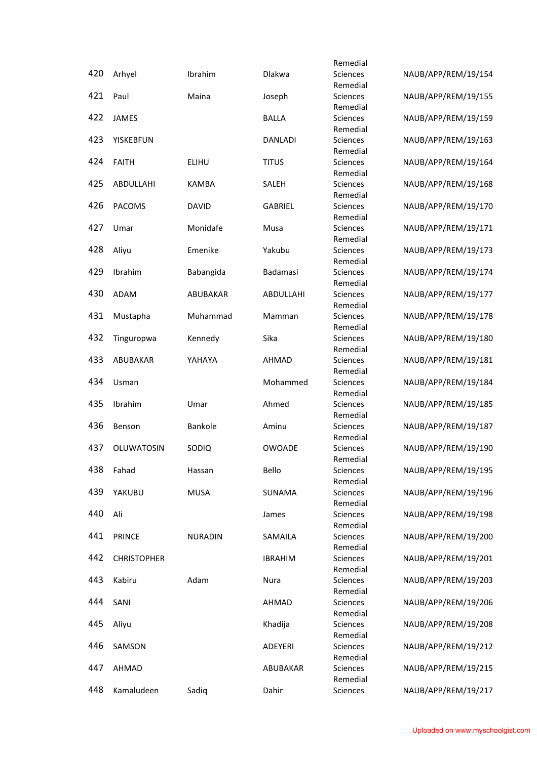|     |                    |                |                | Remedial                    |                     |
|-----|--------------------|----------------|----------------|-----------------------------|---------------------|
| 420 | Arhyel             | Ibrahim        | <b>Dlakwa</b>  | <b>Sciences</b>             | NAUB/APP/REM/19/154 |
|     |                    |                |                | Remedial                    |                     |
| 421 | Paul               | Maina          | Joseph         | Sciences                    | NAUB/APP/REM/19/155 |
| 422 | JAMES              |                | <b>BALLA</b>   | Remedial<br>Sciences        | NAUB/APP/REM/19/159 |
|     |                    |                |                | Remedial                    |                     |
| 423 | <b>YISKEBFUN</b>   |                | <b>DANLADI</b> | Sciences                    | NAUB/APP/REM/19/163 |
|     |                    |                |                | Remedial                    |                     |
| 424 | <b>FAITH</b>       | ELIHU          | <b>TITUS</b>   | Sciences                    | NAUB/APP/REM/19/164 |
|     |                    |                |                | Remedial                    |                     |
| 425 | ABDULLAHI          | <b>KAMBA</b>   | SALEH          | Sciences                    | NAUB/APP/REM/19/168 |
| 426 | <b>PACOMS</b>      | <b>DAVID</b>   | <b>GABRIEL</b> | Remedial<br>Sciences        | NAUB/APP/REM/19/170 |
|     |                    |                |                | Remedial                    |                     |
| 427 | Umar               | Monidafe       | Musa           | Sciences                    | NAUB/APP/REM/19/171 |
|     |                    |                |                | Remedial                    |                     |
| 428 | Aliyu              | Emenike        | Yakubu         | Sciences                    | NAUB/APP/REM/19/173 |
|     |                    |                |                | Remedial                    |                     |
| 429 | Ibrahim            | Babangida      | Badamasi       | Sciences<br>Remedial        | NAUB/APP/REM/19/174 |
| 430 | <b>ADAM</b>        | ABUBAKAR       | ABDULLAHI      | <b>Sciences</b>             | NAUB/APP/REM/19/177 |
|     |                    |                |                | Remedial                    |                     |
| 431 | Mustapha           | Muhammad       | Mamman         | <b>Sciences</b>             | NAUB/APP/REM/19/178 |
|     |                    |                |                | Remedial                    |                     |
| 432 | Tinguropwa         | Kennedy        | Sika           | Sciences                    | NAUB/APP/REM/19/180 |
| 433 | ABUBAKAR           | YAHAYA         | <b>AHMAD</b>   | Remedial<br><b>Sciences</b> |                     |
|     |                    |                |                | Remedial                    | NAUB/APP/REM/19/181 |
| 434 | Usman              |                | Mohammed       | <b>Sciences</b>             | NAUB/APP/REM/19/184 |
|     |                    |                |                | Remedial                    |                     |
| 435 | Ibrahim            | Umar           | Ahmed          | Sciences                    | NAUB/APP/REM/19/185 |
|     |                    |                |                | Remedial                    |                     |
| 436 | Benson             | Bankole        | Aminu          | Sciences                    | NAUB/APP/REM/19/187 |
| 437 | OLUWATOSIN         | SODIQ          | <b>OWOADE</b>  | Remedial<br><b>Sciences</b> | NAUB/APP/REM/19/190 |
|     |                    |                |                | Remedial                    |                     |
| 438 | Fahad              | Hassan         | Bello          | Sciences                    | NAUB/APP/REM/19/195 |
|     |                    |                |                | Remedial                    |                     |
| 439 | YAKUBU             | <b>MUSA</b>    | SUNAMA         | Sciences                    | NAUB/APP/REM/19/196 |
|     |                    |                |                | Remedial                    |                     |
| 440 | Ali                |                | James          | Sciences<br>Remedial        | NAUB/APP/REM/19/198 |
| 441 | <b>PRINCE</b>      | <b>NURADIN</b> | SAMAILA        | Sciences                    | NAUB/APP/REM/19/200 |
|     |                    |                |                | Remedial                    |                     |
| 442 | <b>CHRISTOPHER</b> |                | <b>IBRAHIM</b> | Sciences                    | NAUB/APP/REM/19/201 |
|     |                    |                |                | Remedial                    |                     |
| 443 | Kabiru             | Adam           | Nura           | Sciences                    | NAUB/APP/REM/19/203 |
| 444 |                    |                |                | Remedial                    | NAUB/APP/REM/19/206 |
|     | SANI               |                | AHMAD          | Sciences<br>Remedial        |                     |
| 445 | Aliyu              |                | Khadija        | Sciences                    | NAUB/APP/REM/19/208 |
|     |                    |                |                | Remedial                    |                     |
| 446 | SAMSON             |                | ADEYERI        | Sciences                    | NAUB/APP/REM/19/212 |
|     |                    |                |                | Remedial                    |                     |
| 447 | AHMAD              |                | ABUBAKAR       | Sciences                    | NAUB/APP/REM/19/215 |
| 448 | Kamaludeen         | Sadiq          | Dahir          | Remedial<br>Sciences        | NAUB/APP/REM/19/217 |
|     |                    |                |                |                             |                     |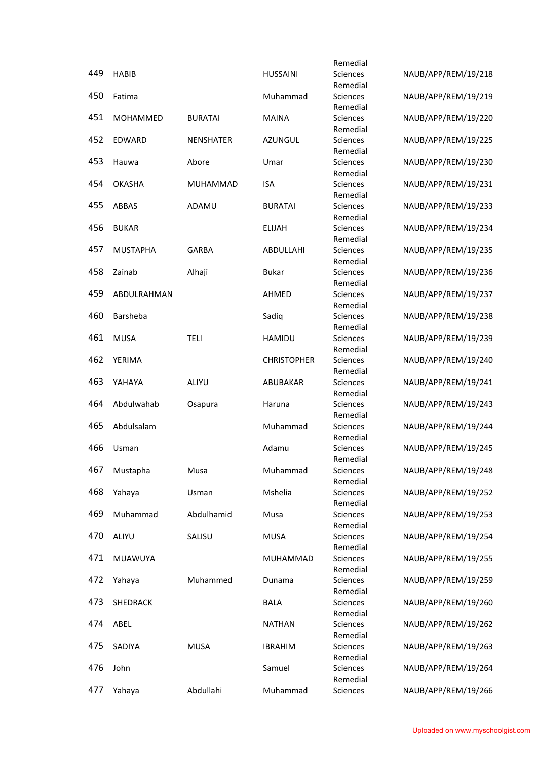|     |                 |                  |                    | Remedial             |                     |
|-----|-----------------|------------------|--------------------|----------------------|---------------------|
| 449 | <b>HABIB</b>    |                  | <b>HUSSAINI</b>    | Sciences             | NAUB/APP/REM/19/218 |
|     |                 |                  |                    | Remedial             |                     |
| 450 | Fatima          |                  | Muhammad           | Sciences             | NAUB/APP/REM/19/219 |
| 451 | MOHAMMED        | <b>BURATAI</b>   | <b>MAINA</b>       | Remedial<br>Sciences | NAUB/APP/REM/19/220 |
|     |                 |                  |                    | Remedial             |                     |
| 452 | <b>EDWARD</b>   | <b>NENSHATER</b> | <b>AZUNGUL</b>     | Sciences             | NAUB/APP/REM/19/225 |
|     |                 |                  |                    | Remedial             |                     |
| 453 | Hauwa           | Abore            | Umar               | Sciences             | NAUB/APP/REM/19/230 |
|     |                 |                  |                    | Remedial             |                     |
| 454 | <b>OKASHA</b>   | MUHAMMAD         | <b>ISA</b>         | Sciences             | NAUB/APP/REM/19/231 |
| 455 |                 |                  |                    | Remedial             |                     |
|     | ABBAS           | ADAMU            | <b>BURATAI</b>     | Sciences<br>Remedial | NAUB/APP/REM/19/233 |
| 456 | <b>BUKAR</b>    |                  | <b>ELIJAH</b>      | Sciences             | NAUB/APP/REM/19/234 |
|     |                 |                  |                    | Remedial             |                     |
| 457 | <b>MUSTAPHA</b> | <b>GARBA</b>     | ABDULLAHI          | Sciences             | NAUB/APP/REM/19/235 |
|     |                 |                  |                    | Remedial             |                     |
| 458 | Zainab          | Alhaji           | <b>Bukar</b>       | Sciences             | NAUB/APP/REM/19/236 |
|     |                 |                  |                    | Remedial             |                     |
| 459 | ABDULRAHMAN     |                  | AHMED              | Sciences             | NAUB/APP/REM/19/237 |
|     |                 |                  |                    | Remedial             |                     |
| 460 | <b>Barsheba</b> |                  | Sadiq              | <b>Sciences</b>      | NAUB/APP/REM/19/238 |
| 461 | <b>MUSA</b>     | TELI             | <b>HAMIDU</b>      | Remedial<br>Sciences | NAUB/APP/REM/19/239 |
|     |                 |                  |                    | Remedial             |                     |
| 462 | YERIMA          |                  | <b>CHRISTOPHER</b> | Sciences             | NAUB/APP/REM/19/240 |
|     |                 |                  |                    | Remedial             |                     |
| 463 | YAHAYA          | ALIYU            | ABUBAKAR           | Sciences             | NAUB/APP/REM/19/241 |
|     |                 |                  |                    | Remedial             |                     |
| 464 | Abdulwahab      | Osapura          | Haruna             | Sciences             | NAUB/APP/REM/19/243 |
|     |                 |                  |                    | Remedial             |                     |
| 465 | Abdulsalam      |                  | Muhammad           | Sciences<br>Remedial | NAUB/APP/REM/19/244 |
| 466 | Usman           |                  | Adamu              | Sciences             | NAUB/APP/REM/19/245 |
|     |                 |                  |                    | Remedial             |                     |
| 467 | Mustapha        | Musa             | Muhammad           | Sciences             | NAUB/APP/REM/19/248 |
|     |                 |                  |                    | Remedial             |                     |
| 468 | Yahaya          | Usman            | Mshelia            | Sciences             | NAUB/APP/REM/19/252 |
|     |                 |                  |                    | Remedial             |                     |
| 469 | Muhammad        | Abdulhamid       | Musa               | Sciences             | NAUB/APP/REM/19/253 |
| 470 |                 |                  |                    | Remedial             | NAUB/APP/REM/19/254 |
|     | ALIYU           | SALISU           | <b>MUSA</b>        | Sciences<br>Remedial |                     |
| 471 | MUAWUYA         |                  | MUHAMMAD           | Sciences             | NAUB/APP/REM/19/255 |
|     |                 |                  |                    | Remedial             |                     |
| 472 | Yahaya          | Muhammed         | Dunama             | Sciences             | NAUB/APP/REM/19/259 |
|     |                 |                  |                    | Remedial             |                     |
| 473 | SHEDRACK        |                  | <b>BALA</b>        | Sciences             | NAUB/APP/REM/19/260 |
|     |                 |                  |                    | Remedial             |                     |
| 474 | ABEL            |                  | <b>NATHAN</b>      | Sciences             | NAUB/APP/REM/19/262 |
|     |                 |                  |                    | Remedial             |                     |
| 475 | SADIYA          | <b>MUSA</b>      | <b>IBRAHIM</b>     | Sciences<br>Remedial | NAUB/APP/REM/19/263 |
| 476 | John            |                  | Samuel             | Sciences             | NAUB/APP/REM/19/264 |
|     |                 |                  |                    | Remedial             |                     |
| 477 | Yahaya          | Abdullahi        | Muhammad           | Sciences             | NAUB/APP/REM/19/266 |
|     |                 |                  |                    |                      |                     |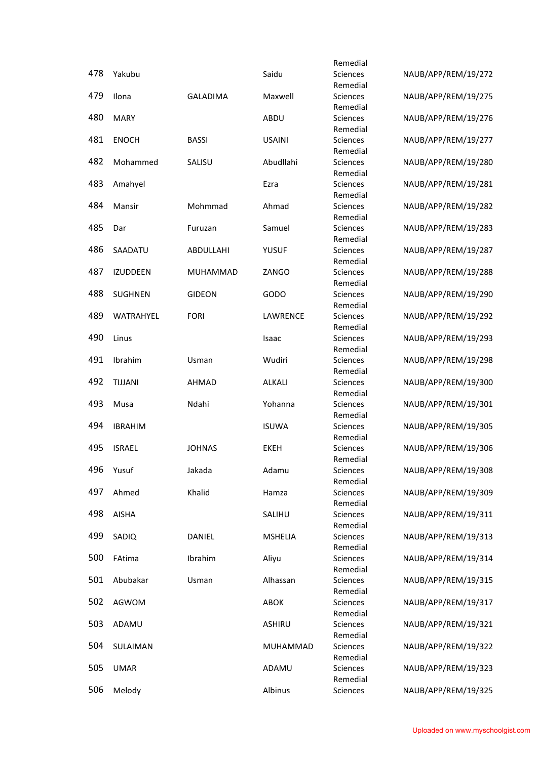|     |                  |                 |                | Remedial                    |                     |
|-----|------------------|-----------------|----------------|-----------------------------|---------------------|
| 478 | Yakubu           |                 | Saidu          | <b>Sciences</b>             | NAUB/APP/REM/19/272 |
|     |                  |                 |                | Remedial                    |                     |
| 479 | Ilona            | <b>GALADIMA</b> | Maxwell        | Sciences                    | NAUB/APP/REM/19/275 |
| 480 | <b>MARY</b>      |                 | ABDU           | Remedial<br><b>Sciences</b> |                     |
|     |                  |                 |                | Remedial                    | NAUB/APP/REM/19/276 |
| 481 | <b>ENOCH</b>     | <b>BASSI</b>    | <b>USAINI</b>  | Sciences                    | NAUB/APP/REM/19/277 |
|     |                  |                 |                | Remedial                    |                     |
| 482 | Mohammed         | SALISU          | Abudllahi      | Sciences                    | NAUB/APP/REM/19/280 |
|     |                  |                 |                | Remedial                    |                     |
| 483 | Amahyel          |                 | Ezra           | Sciences                    | NAUB/APP/REM/19/281 |
|     |                  |                 |                | Remedial                    |                     |
| 484 | Mansir           | Mohmmad         | Ahmad          | Sciences                    | NAUB/APP/REM/19/282 |
| 485 | Dar              | Furuzan         | Samuel         | Remedial<br>Sciences        | NAUB/APP/REM/19/283 |
|     |                  |                 |                | Remedial                    |                     |
| 486 | SAADATU          | ABDULLAHI       | <b>YUSUF</b>   | Sciences                    | NAUB/APP/REM/19/287 |
|     |                  |                 |                | Remedial                    |                     |
| 487 | <b>IZUDDEEN</b>  | MUHAMMAD        | ZANGO          | Sciences                    | NAUB/APP/REM/19/288 |
|     |                  |                 |                | Remedial                    |                     |
| 488 | <b>SUGHNEN</b>   | <b>GIDEON</b>   | GODO           | Sciences                    | NAUB/APP/REM/19/290 |
|     |                  |                 |                | Remedial                    |                     |
| 489 | <b>WATRAHYEL</b> | <b>FORI</b>     | LAWRENCE       | <b>Sciences</b>             | NAUB/APP/REM/19/292 |
| 490 | Linus            |                 | Isaac          | Remedial<br>Sciences        | NAUB/APP/REM/19/293 |
|     |                  |                 |                | Remedial                    |                     |
| 491 | Ibrahim          | Usman           | Wudiri         | <b>Sciences</b>             | NAUB/APP/REM/19/298 |
|     |                  |                 |                | Remedial                    |                     |
| 492 | <b>TIJJANI</b>   | AHMAD           | <b>ALKALI</b>  | <b>Sciences</b>             | NAUB/APP/REM/19/300 |
|     |                  |                 |                | Remedial                    |                     |
| 493 | Musa             | Ndahi           | Yohanna        | Sciences                    | NAUB/APP/REM/19/301 |
|     |                  |                 |                | Remedial                    |                     |
| 494 | <b>IBRAHIM</b>   |                 | <b>ISUWA</b>   | Sciences                    | NAUB/APP/REM/19/305 |
| 495 | <b>ISRAEL</b>    | <b>JOHNAS</b>   | <b>EKEH</b>    | Remedial<br>Sciences        | NAUB/APP/REM/19/306 |
|     |                  |                 |                | Remedial                    |                     |
| 496 | Yusuf            | Jakada          | Adamu          | Sciences                    | NAUB/APP/REM/19/308 |
|     |                  |                 |                | Remedial                    |                     |
| 497 | Ahmed            | Khalid          | Hamza          | Sciences                    | NAUB/APP/REM/19/309 |
|     |                  |                 |                | Remedial                    |                     |
| 498 | <b>AISHA</b>     |                 | SALIHU         | Sciences                    | NAUB/APP/REM/19/311 |
| 499 |                  |                 |                | Remedial                    | NAUB/APP/REM/19/313 |
|     | SADIQ            | DANIEL          | <b>MSHELIA</b> | Sciences<br>Remedial        |                     |
| 500 | FAtima           | Ibrahim         | Aliyu          | Sciences                    | NAUB/APP/REM/19/314 |
|     |                  |                 |                | Remedial                    |                     |
| 501 | Abubakar         | Usman           | Alhassan       | Sciences                    | NAUB/APP/REM/19/315 |
|     |                  |                 |                | Remedial                    |                     |
| 502 | AGWOM            |                 | <b>ABOK</b>    | Sciences                    | NAUB/APP/REM/19/317 |
|     |                  |                 |                | Remedial                    |                     |
| 503 | ADAMU            |                 | ASHIRU         | Sciences                    | NAUB/APP/REM/19/321 |
| 504 | SULAIMAN         |                 | MUHAMMAD       | Remedial<br>Sciences        | NAUB/APP/REM/19/322 |
|     |                  |                 |                | Remedial                    |                     |
| 505 | <b>UMAR</b>      |                 | ADAMU          | Sciences                    | NAUB/APP/REM/19/323 |
|     |                  |                 |                | Remedial                    |                     |
| 506 | Melody           |                 | Albinus        | Sciences                    | NAUB/APP/REM/19/325 |
|     |                  |                 |                |                             |                     |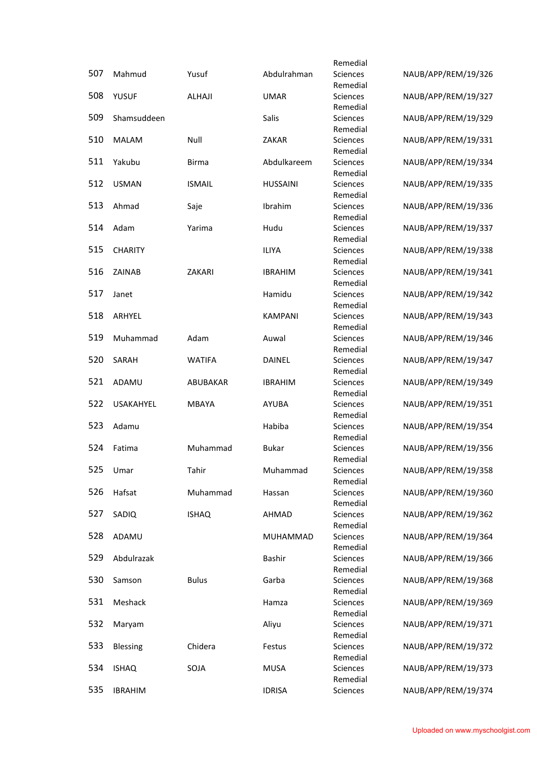|     |                  |               |                 | Remedial                    |                     |
|-----|------------------|---------------|-----------------|-----------------------------|---------------------|
| 507 | Mahmud           | Yusuf         | Abdulrahman     | <b>Sciences</b>             | NAUB/APP/REM/19/326 |
|     |                  |               |                 | Remedial                    |                     |
| 508 | <b>YUSUF</b>     | ALHAJI        | <b>UMAR</b>     | Sciences                    | NAUB/APP/REM/19/327 |
|     |                  |               |                 | Remedial                    |                     |
| 509 | Shamsuddeen      |               | Salis           | <b>Sciences</b><br>Remedial | NAUB/APP/REM/19/329 |
| 510 | <b>MALAM</b>     | Null          | ZAKAR           | Sciences                    | NAUB/APP/REM/19/331 |
|     |                  |               |                 | Remedial                    |                     |
| 511 | Yakubu           | <b>Birma</b>  | Abdulkareem     | Sciences                    | NAUB/APP/REM/19/334 |
|     |                  |               |                 | Remedial                    |                     |
| 512 | <b>USMAN</b>     | <b>ISMAIL</b> | <b>HUSSAINI</b> | Sciences                    | NAUB/APP/REM/19/335 |
|     |                  |               |                 | Remedial                    |                     |
| 513 | Ahmad            | Saje          | Ibrahim         | Sciences                    | NAUB/APP/REM/19/336 |
|     |                  |               |                 | Remedial                    |                     |
| 514 | Adam             | Yarima        | Hudu            | Sciences                    | NAUB/APP/REM/19/337 |
| 515 | <b>CHARITY</b>   |               | <b>ILIYA</b>    | Remedial<br>Sciences        | NAUB/APP/REM/19/338 |
|     |                  |               |                 | Remedial                    |                     |
| 516 | ZAINAB           | ZAKARI        | <b>IBRAHIM</b>  | Sciences                    | NAUB/APP/REM/19/341 |
|     |                  |               |                 | Remedial                    |                     |
| 517 | Janet            |               | Hamidu          | Sciences                    | NAUB/APP/REM/19/342 |
|     |                  |               |                 | Remedial                    |                     |
| 518 | ARHYEL           |               | <b>KAMPANI</b>  | <b>Sciences</b>             | NAUB/APP/REM/19/343 |
|     |                  |               |                 | Remedial                    |                     |
| 519 | Muhammad         | Adam          | Auwal           | <b>Sciences</b>             | NAUB/APP/REM/19/346 |
|     |                  |               |                 | Remedial                    |                     |
| 520 | SARAH            | <b>WATIFA</b> | DAINEL          | <b>Sciences</b>             | NAUB/APP/REM/19/347 |
| 521 | ADAMU            | ABUBAKAR      | <b>IBRAHIM</b>  | Remedial<br><b>Sciences</b> | NAUB/APP/REM/19/349 |
|     |                  |               |                 | Remedial                    |                     |
| 522 | <b>USAKAHYEL</b> | <b>MBAYA</b>  | <b>AYUBA</b>    | Sciences                    | NAUB/APP/REM/19/351 |
|     |                  |               |                 | Remedial                    |                     |
| 523 | Adamu            |               | Habiba          | Sciences                    | NAUB/APP/REM/19/354 |
|     |                  |               |                 | Remedial                    |                     |
| 524 | Fatima           | Muhammad      | <b>Bukar</b>    | <b>Sciences</b>             | NAUB/APP/REM/19/356 |
|     |                  |               |                 | Remedial                    |                     |
| 525 | Umar             | Tahir         | Muhammad        | Sciences                    | NAUB/APP/REM/19/358 |
| 526 | Hafsat           |               |                 | Remedial                    | NAUB/APP/REM/19/360 |
|     |                  | Muhammad      | Hassan          | Sciences<br>Remedial        |                     |
| 527 | SADIQ            | <b>ISHAQ</b>  | AHMAD           | Sciences                    | NAUB/APP/REM/19/362 |
|     |                  |               |                 | Remedial                    |                     |
| 528 | ADAMU            |               | MUHAMMAD        | Sciences                    | NAUB/APP/REM/19/364 |
|     |                  |               |                 | Remedial                    |                     |
| 529 | Abdulrazak       |               | Bashir          | Sciences                    | NAUB/APP/REM/19/366 |
|     |                  |               |                 | Remedial                    |                     |
| 530 | Samson           | <b>Bulus</b>  | Garba           | Sciences                    | NAUB/APP/REM/19/368 |
|     |                  |               |                 | Remedial                    |                     |
| 531 | Meshack          |               | Hamza           | Sciences                    | NAUB/APP/REM/19/369 |
| 532 | Maryam           |               | Aliyu           | Remedial<br>Sciences        | NAUB/APP/REM/19/371 |
|     |                  |               |                 | Remedial                    |                     |
| 533 | <b>Blessing</b>  | Chidera       | Festus          | Sciences                    | NAUB/APP/REM/19/372 |
|     |                  |               |                 | Remedial                    |                     |
| 534 | <b>ISHAQ</b>     | SOJA          | <b>MUSA</b>     | Sciences                    | NAUB/APP/REM/19/373 |
|     |                  |               |                 | Remedial                    |                     |
| 535 | <b>IBRAHIM</b>   |               | <b>IDRISA</b>   | Sciences                    | NAUB/APP/REM/19/374 |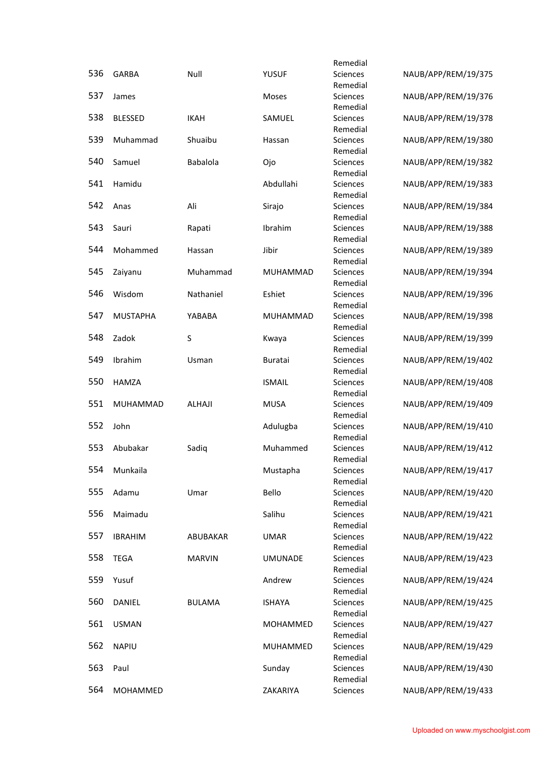|     |                 |                 |                 | Remedial             |                     |
|-----|-----------------|-----------------|-----------------|----------------------|---------------------|
| 536 | <b>GARBA</b>    | Null            | <b>YUSUF</b>    | Sciences             | NAUB/APP/REM/19/375 |
|     |                 |                 |                 | Remedial             |                     |
| 537 | James           |                 | Moses           | Sciences             | NAUB/APP/REM/19/376 |
| 538 |                 |                 |                 | Remedial             |                     |
|     | <b>BLESSED</b>  | <b>IKAH</b>     | SAMUEL          | Sciences<br>Remedial | NAUB/APP/REM/19/378 |
| 539 | Muhammad        | Shuaibu         | Hassan          | Sciences             | NAUB/APP/REM/19/380 |
|     |                 |                 |                 | Remedial             |                     |
| 540 | Samuel          | <b>Babalola</b> | Ojo             | Sciences             | NAUB/APP/REM/19/382 |
|     |                 |                 |                 | Remedial             |                     |
| 541 | Hamidu          |                 | Abdullahi       | Sciences             | NAUB/APP/REM/19/383 |
|     |                 |                 |                 | Remedial             |                     |
| 542 | Anas            | Ali             | Sirajo          | Sciences             | NAUB/APP/REM/19/384 |
| 543 | Sauri           | Rapati          | Ibrahim         | Remedial<br>Sciences | NAUB/APP/REM/19/388 |
|     |                 |                 |                 | Remedial             |                     |
| 544 | Mohammed        | Hassan          | Jibir           | Sciences             | NAUB/APP/REM/19/389 |
|     |                 |                 |                 | Remedial             |                     |
| 545 | Zaiyanu         | Muhammad        | MUHAMMAD        | Sciences             | NAUB/APP/REM/19/394 |
|     |                 |                 |                 | Remedial             |                     |
| 546 | Wisdom          | Nathaniel       | Eshiet          | Sciences             | NAUB/APP/REM/19/396 |
|     |                 |                 |                 | Remedial             |                     |
| 547 | <b>MUSTAPHA</b> | YABABA          | <b>MUHAMMAD</b> | Sciences             | NAUB/APP/REM/19/398 |
|     |                 |                 |                 | Remedial             |                     |
| 548 | Zadok           | S               | Kwaya           | Sciences<br>Remedial | NAUB/APP/REM/19/399 |
| 549 | Ibrahim         | Usman           | <b>Buratai</b>  | <b>Sciences</b>      | NAUB/APP/REM/19/402 |
|     |                 |                 |                 | Remedial             |                     |
| 550 | <b>HAMZA</b>    |                 | <b>ISMAIL</b>   | Sciences             | NAUB/APP/REM/19/408 |
|     |                 |                 |                 | Remedial             |                     |
| 551 | MUHAMMAD        | ALHAJI          | <b>MUSA</b>     | Sciences             | NAUB/APP/REM/19/409 |
|     |                 |                 |                 | Remedial             |                     |
| 552 | John            |                 | Adulugba        | Sciences             | NAUB/APP/REM/19/410 |
|     |                 |                 |                 | Remedial             |                     |
| 553 | Abubakar        | Sadiq           | Muhammed        | Sciences             | NAUB/APP/REM/19/412 |
| 554 | Munkaila        |                 | Mustapha        | Remedial<br>Sciences | NAUB/APP/REM/19/417 |
|     |                 |                 |                 | Remedial             |                     |
| 555 | Adamu           | Umar            | Bello           | Sciences             | NAUB/APP/REM/19/420 |
|     |                 |                 |                 | Remedial             |                     |
| 556 | Maimadu         |                 | Salihu          | Sciences             | NAUB/APP/REM/19/421 |
|     |                 |                 |                 | Remedial             |                     |
| 557 | <b>IBRAHIM</b>  | ABUBAKAR        | <b>UMAR</b>     | Sciences             | NAUB/APP/REM/19/422 |
|     |                 |                 |                 | Remedial             |                     |
| 558 | <b>TEGA</b>     | <b>MARVIN</b>   | <b>UMUNADE</b>  | Sciences             | NAUB/APP/REM/19/423 |
| 559 | Yusuf           |                 | Andrew          | Remedial             | NAUB/APP/REM/19/424 |
|     |                 |                 |                 | Sciences<br>Remedial |                     |
| 560 | DANIEL          | <b>BULAMA</b>   | <b>ISHAYA</b>   | Sciences             | NAUB/APP/REM/19/425 |
|     |                 |                 |                 | Remedial             |                     |
| 561 | <b>USMAN</b>    |                 | MOHAMMED        | Sciences             | NAUB/APP/REM/19/427 |
|     |                 |                 |                 | Remedial             |                     |
| 562 | <b>NAPIU</b>    |                 | MUHAMMED        | Sciences             | NAUB/APP/REM/19/429 |
|     |                 |                 |                 | Remedial             |                     |
| 563 | Paul            |                 | Sunday          | Sciences             | NAUB/APP/REM/19/430 |
| 564 |                 |                 |                 | Remedial             |                     |
|     | MOHAMMED        |                 | ZAKARIYA        | Sciences             | NAUB/APP/REM/19/433 |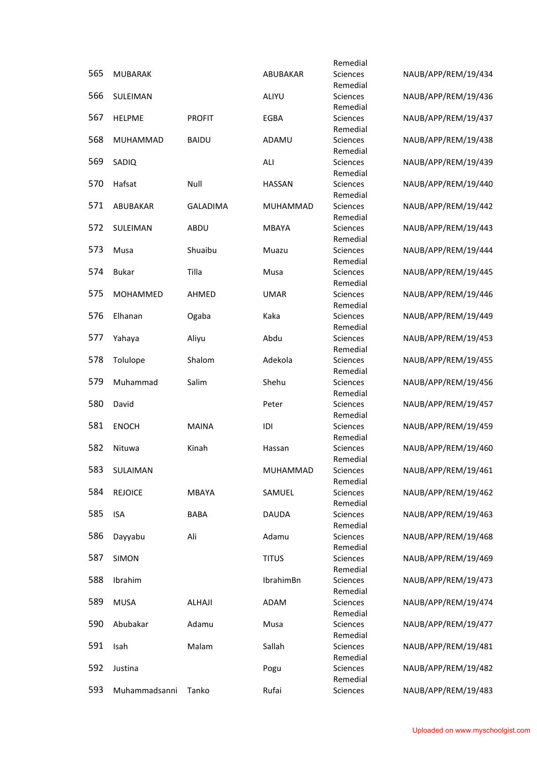|     |                |                 |                 | Remedial             |                     |
|-----|----------------|-----------------|-----------------|----------------------|---------------------|
| 565 | <b>MUBARAK</b> |                 | ABUBAKAR        | Sciences             | NAUB/APP/REM/19/434 |
|     |                |                 |                 | Remedial             |                     |
| 566 | SULEIMAN       |                 | ALIYU           | Sciences<br>Remedial | NAUB/APP/REM/19/436 |
| 567 | <b>HELPME</b>  | <b>PROFIT</b>   | EGBA            | Sciences             | NAUB/APP/REM/19/437 |
|     |                |                 |                 | Remedial             |                     |
| 568 | MUHAMMAD       | <b>BAIDU</b>    | ADAMU           | Sciences             | NAUB/APP/REM/19/438 |
| 569 | SADIQ          |                 | ALI             | Remedial<br>Sciences | NAUB/APP/REM/19/439 |
|     |                |                 |                 | Remedial             |                     |
| 570 | Hafsat         | Null            | <b>HASSAN</b>   | Sciences             | NAUB/APP/REM/19/440 |
|     |                |                 |                 | Remedial             |                     |
| 571 | ABUBAKAR       | <b>GALADIMA</b> | <b>MUHAMMAD</b> | Sciences             | NAUB/APP/REM/19/442 |
| 572 | SULEIMAN       | ABDU            | <b>MBAYA</b>    | Remedial<br>Sciences | NAUB/APP/REM/19/443 |
|     |                |                 |                 | Remedial             |                     |
| 573 | Musa           | Shuaibu         | Muazu           | Sciences             | NAUB/APP/REM/19/444 |
|     |                |                 |                 | Remedial             |                     |
| 574 | <b>Bukar</b>   | Tilla           | Musa            | Sciences             | NAUB/APP/REM/19/445 |
| 575 | MOHAMMED       | AHMED           | <b>UMAR</b>     | Remedial<br>Sciences | NAUB/APP/REM/19/446 |
|     |                |                 |                 | Remedial             |                     |
| 576 | Elhanan        | Ogaba           | Kaka            | Sciences             | NAUB/APP/REM/19/449 |
|     |                |                 |                 | Remedial             |                     |
| 577 | Yahaya         | Aliyu           | Abdu            | Sciences             | NAUB/APP/REM/19/453 |
| 578 | Tolulope       | Shalom          | Adekola         | Remedial<br>Sciences | NAUB/APP/REM/19/455 |
|     |                |                 |                 | Remedial             |                     |
| 579 | Muhammad       | Salim           | Shehu           | Sciences             | NAUB/APP/REM/19/456 |
|     |                |                 |                 | Remedial             |                     |
| 580 | David          |                 | Peter           | Sciences<br>Remedial | NAUB/APP/REM/19/457 |
| 581 | <b>ENOCH</b>   | <b>MAINA</b>    | IDI             | Sciences             | NAUB/APP/REM/19/459 |
|     |                |                 |                 | Remedial             |                     |
| 582 | Nituwa         | Kinah           | Hassan          | Sciences             | NAUB/APP/REM/19/460 |
|     |                |                 |                 | Remedial             |                     |
| 583 | SULAIMAN       |                 | MUHAMMAD        | Sciences<br>Remedial | NAUB/APP/REM/19/461 |
| 584 | <b>REJOICE</b> | <b>MBAYA</b>    | SAMUEL          | Sciences             | NAUB/APP/REM/19/462 |
|     |                |                 |                 | Remedial             |                     |
| 585 | <b>ISA</b>     | <b>BABA</b>     | <b>DAUDA</b>    | Sciences             | NAUB/APP/REM/19/463 |
| 586 |                | Ali             | Adamu           | Remedial<br>Sciences | NAUB/APP/REM/19/468 |
|     | Dayyabu        |                 |                 | Remedial             |                     |
| 587 | <b>SIMON</b>   |                 | <b>TITUS</b>    | Sciences             | NAUB/APP/REM/19/469 |
|     |                |                 |                 | Remedial             |                     |
| 588 | Ibrahim        |                 | IbrahimBn       | Sciences             | NAUB/APP/REM/19/473 |
| 589 | <b>MUSA</b>    | ALHAJI          | ADAM            | Remedial<br>Sciences | NAUB/APP/REM/19/474 |
|     |                |                 |                 | Remedial             |                     |
| 590 | Abubakar       | Adamu           | Musa            | Sciences             | NAUB/APP/REM/19/477 |
|     |                |                 |                 | Remedial             |                     |
| 591 | Isah           | Malam           | Sallah          | Sciences             | NAUB/APP/REM/19/481 |
| 592 | Justina        |                 | Pogu            | Remedial<br>Sciences | NAUB/APP/REM/19/482 |
|     |                |                 |                 | Remedial             |                     |
| 593 | Muhammadsanni  | Tanko           | Rufai           | Sciences             | NAUB/APP/REM/19/483 |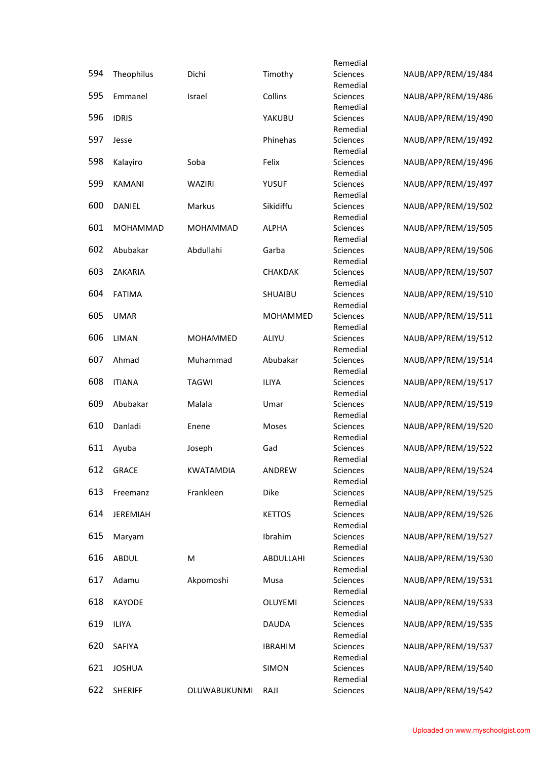|     |                 |                  |                | Remedial                    |                     |
|-----|-----------------|------------------|----------------|-----------------------------|---------------------|
| 594 | Theophilus      | Dichi            | Timothy        | Sciences                    | NAUB/APP/REM/19/484 |
|     |                 |                  |                | Remedial                    |                     |
| 595 | Emmanel         | Israel           | Collins        | Sciences                    | NAUB/APP/REM/19/486 |
| 596 | <b>IDRIS</b>    |                  | YAKUBU         | Remedial<br>Sciences        | NAUB/APP/REM/19/490 |
|     |                 |                  |                | Remedial                    |                     |
| 597 | Jesse           |                  | Phinehas       | Sciences                    | NAUB/APP/REM/19/492 |
|     |                 |                  |                | Remedial                    |                     |
| 598 | Kalayiro        | Soba             | Felix          | Sciences                    | NAUB/APP/REM/19/496 |
|     |                 |                  |                | Remedial                    |                     |
| 599 | <b>KAMANI</b>   | WAZIRI           | <b>YUSUF</b>   | Sciences<br>Remedial        | NAUB/APP/REM/19/497 |
| 600 | DANIEL          | Markus           | Sikidiffu      | Sciences                    | NAUB/APP/REM/19/502 |
|     |                 |                  |                | Remedial                    |                     |
| 601 | MOHAMMAD        | MOHAMMAD         | <b>ALPHA</b>   | Sciences                    | NAUB/APP/REM/19/505 |
|     |                 |                  |                | Remedial                    |                     |
| 602 | Abubakar        | Abdullahi        | Garba          | Sciences                    | NAUB/APP/REM/19/506 |
| 603 | ZAKARIA         |                  | CHAKDAK        | Remedial<br>Sciences        | NAUB/APP/REM/19/507 |
|     |                 |                  |                | Remedial                    |                     |
| 604 | <b>FATIMA</b>   |                  | SHUAIBU        | Sciences                    | NAUB/APP/REM/19/510 |
|     |                 |                  |                | Remedial                    |                     |
| 605 | <b>UMAR</b>     |                  | MOHAMMED       | <b>Sciences</b>             | NAUB/APP/REM/19/511 |
|     |                 |                  |                | Remedial                    |                     |
| 606 | <b>LIMAN</b>    | MOHAMMED         | ALIYU          | Sciences                    | NAUB/APP/REM/19/512 |
| 607 | Ahmad           | Muhammad         | Abubakar       | Remedial<br><b>Sciences</b> | NAUB/APP/REM/19/514 |
|     |                 |                  |                | Remedial                    |                     |
| 608 | <b>ITIANA</b>   | <b>TAGWI</b>     | <b>ILIYA</b>   | Sciences                    | NAUB/APP/REM/19/517 |
|     |                 |                  |                | Remedial                    |                     |
| 609 | Abubakar        | Malala           | Umar           | Sciences                    | NAUB/APP/REM/19/519 |
|     |                 |                  |                | Remedial                    |                     |
| 610 | Danladi         | Enene            | Moses          | Sciences<br>Remedial        | NAUB/APP/REM/19/520 |
| 611 | Ayuba           | Joseph           | Gad            | Sciences                    | NAUB/APP/REM/19/522 |
|     |                 |                  |                | Remedial                    |                     |
| 612 | <b>GRACE</b>    | <b>KWATAMDIA</b> | ANDREW         | Sciences                    | NAUB/APP/REM/19/524 |
|     |                 |                  |                | Remedial                    |                     |
| 613 | Freemanz        | Frankleen        | Dike           | Sciences                    | NAUB/APP/REM/19/525 |
| 614 | <b>JEREMIAH</b> |                  | <b>KETTOS</b>  | Remedial<br>Sciences        | NAUB/APP/REM/19/526 |
|     |                 |                  |                | Remedial                    |                     |
| 615 | Maryam          |                  | Ibrahim        | Sciences                    | NAUB/APP/REM/19/527 |
|     |                 |                  |                | Remedial                    |                     |
| 616 | ABDUL           | M                | ABDULLAHI      | Sciences                    | NAUB/APP/REM/19/530 |
|     |                 |                  |                | Remedial                    |                     |
| 617 | Adamu           | Akpomoshi        | Musa           | Sciences<br>Remedial        | NAUB/APP/REM/19/531 |
| 618 | KAYODE          |                  | OLUYEMI        | Sciences                    | NAUB/APP/REM/19/533 |
|     |                 |                  |                | Remedial                    |                     |
| 619 | <b>ILIYA</b>    |                  | <b>DAUDA</b>   | Sciences                    | NAUB/APP/REM/19/535 |
|     |                 |                  |                | Remedial                    |                     |
| 620 | SAFIYA          |                  | <b>IBRAHIM</b> | Sciences                    | NAUB/APP/REM/19/537 |
|     |                 |                  |                | Remedial                    |                     |
| 621 | <b>JOSHUA</b>   |                  | SIMON          | Sciences<br>Remedial        | NAUB/APP/REM/19/540 |
| 622 | <b>SHERIFF</b>  | OLUWABUKUNMI     | RAJI           | Sciences                    | NAUB/APP/REM/19/542 |
|     |                 |                  |                |                             |                     |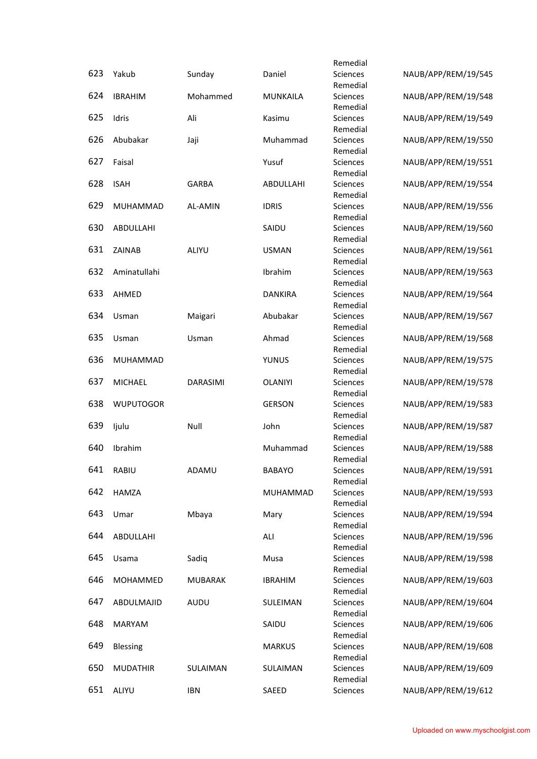|     |                  |                 |                 | Remedial             |                     |
|-----|------------------|-----------------|-----------------|----------------------|---------------------|
| 623 | Yakub            | Sunday          | Daniel          | Sciences             | NAUB/APP/REM/19/545 |
|     |                  |                 |                 | Remedial             |                     |
| 624 | <b>IBRAHIM</b>   | Mohammed        | <b>MUNKAILA</b> | Sciences<br>Remedial | NAUB/APP/REM/19/548 |
| 625 | Idris            | Ali             | Kasimu          | Sciences             | NAUB/APP/REM/19/549 |
|     |                  |                 |                 | Remedial             |                     |
| 626 | Abubakar         | Jaji            | Muhammad        | Sciences             | NAUB/APP/REM/19/550 |
|     |                  |                 |                 | Remedial             |                     |
| 627 | Faisal           |                 | Yusuf           | Sciences<br>Remedial | NAUB/APP/REM/19/551 |
| 628 | <b>ISAH</b>      | <b>GARBA</b>    | ABDULLAHI       | Sciences             | NAUB/APP/REM/19/554 |
|     |                  |                 |                 | Remedial             |                     |
| 629 | MUHAMMAD         | AL-AMIN         | <b>IDRIS</b>    | Sciences             | NAUB/APP/REM/19/556 |
|     |                  |                 |                 | Remedial             |                     |
| 630 | ABDULLAHI        |                 | SAIDU           | Sciences             | NAUB/APP/REM/19/560 |
| 631 |                  |                 |                 | Remedial             |                     |
|     | ZAINAB           | ALIYU           | <b>USMAN</b>    | Sciences<br>Remedial | NAUB/APP/REM/19/561 |
| 632 | Aminatullahi     |                 | Ibrahim         | Sciences             | NAUB/APP/REM/19/563 |
|     |                  |                 |                 | Remedial             |                     |
| 633 | AHMED            |                 | <b>DANKIRA</b>  | Sciences             | NAUB/APP/REM/19/564 |
|     |                  |                 |                 | Remedial             |                     |
| 634 | Usman            | Maigari         | Abubakar        | <b>Sciences</b>      | NAUB/APP/REM/19/567 |
| 635 | Usman            | Usman           | Ahmad           | Remedial             | NAUB/APP/REM/19/568 |
|     |                  |                 |                 | Sciences<br>Remedial |                     |
| 636 | MUHAMMAD         |                 | YUNUS           | Sciences             | NAUB/APP/REM/19/575 |
|     |                  |                 |                 | Remedial             |                     |
| 637 | <b>MICHAEL</b>   | <b>DARASIMI</b> | <b>OLANIYI</b>  | Sciences             | NAUB/APP/REM/19/578 |
|     |                  |                 |                 | Remedial             |                     |
| 638 | <b>WUPUTOGOR</b> |                 | <b>GERSON</b>   | Sciences             | NAUB/APP/REM/19/583 |
| 639 | ljulu            | Null            | John            | Remedial<br>Sciences | NAUB/APP/REM/19/587 |
|     |                  |                 |                 | Remedial             |                     |
| 640 | Ibrahim          |                 | Muhammad        | Sciences             | NAUB/APP/REM/19/588 |
|     |                  |                 |                 | Remedial             |                     |
| 641 | RABIU            | ADAMU           | <b>BABAYO</b>   | Sciences             | NAUB/APP/REM/19/591 |
| 642 |                  |                 |                 | Remedial             |                     |
|     | HAMZA            |                 | MUHAMMAD        | Sciences<br>Remedial | NAUB/APP/REM/19/593 |
| 643 | Umar             | Mbaya           | Mary            | Sciences             | NAUB/APP/REM/19/594 |
|     |                  |                 |                 | Remedial             |                     |
| 644 | ABDULLAHI        |                 | ALI             | Sciences             | NAUB/APP/REM/19/596 |
|     |                  |                 |                 | Remedial             |                     |
| 645 | Usama            | Sadiq           | Musa            | Sciences             | NAUB/APP/REM/19/598 |
| 646 | MOHAMMED         | <b>MUBARAK</b>  | <b>IBRAHIM</b>  | Remedial<br>Sciences | NAUB/APP/REM/19/603 |
|     |                  |                 |                 | Remedial             |                     |
| 647 | ABDULMAJID       | AUDU            | SULEIMAN        | Sciences             | NAUB/APP/REM/19/604 |
|     |                  |                 |                 | Remedial             |                     |
| 648 | <b>MARYAM</b>    |                 | SAIDU           | Sciences             | NAUB/APP/REM/19/606 |
|     |                  |                 |                 | Remedial             |                     |
| 649 | Blessing         |                 | <b>MARKUS</b>   | Sciences<br>Remedial | NAUB/APP/REM/19/608 |
| 650 | <b>MUDATHIR</b>  | SULAIMAN        | SULAIMAN        | Sciences             | NAUB/APP/REM/19/609 |
|     |                  |                 |                 | Remedial             |                     |
| 651 | ALIYU            | <b>IBN</b>      | SAEED           | Sciences             | NAUB/APP/REM/19/612 |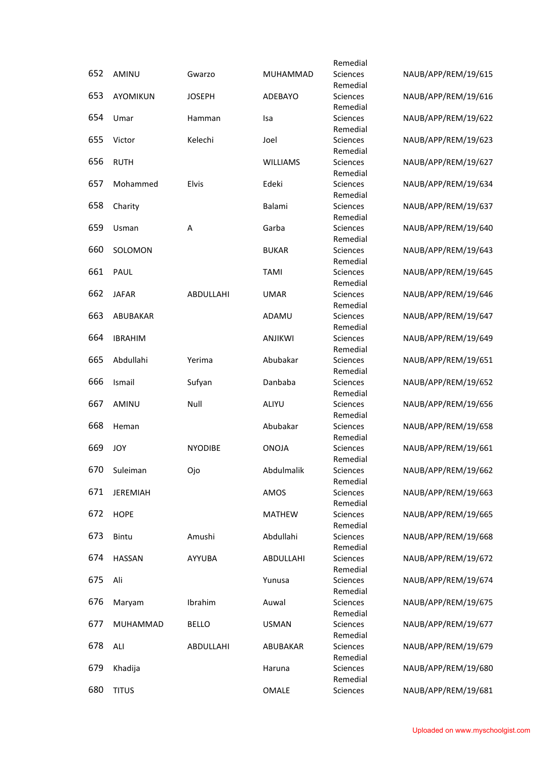|     |                 |                |                 | Remedial             |                     |
|-----|-----------------|----------------|-----------------|----------------------|---------------------|
| 652 | AMINU           | Gwarzo         | <b>MUHAMMAD</b> | Sciences<br>Remedial | NAUB/APP/REM/19/615 |
| 653 | AYOMIKUN        | <b>JOSEPH</b>  | ADEBAYO         | Sciences<br>Remedial | NAUB/APP/REM/19/616 |
| 654 | Umar            | Hamman         | Isa             | Sciences<br>Remedial | NAUB/APP/REM/19/622 |
| 655 | Victor          | Kelechi        | Joel            | Sciences<br>Remedial | NAUB/APP/REM/19/623 |
| 656 | <b>RUTH</b>     |                | <b>WILLIAMS</b> | Sciences<br>Remedial | NAUB/APP/REM/19/627 |
| 657 | Mohammed        | Elvis          | Edeki           | Sciences<br>Remedial | NAUB/APP/REM/19/634 |
| 658 | Charity         |                | Balami          | Sciences<br>Remedial | NAUB/APP/REM/19/637 |
| 659 | Usman           | Α              | Garba           | Sciences<br>Remedial | NAUB/APP/REM/19/640 |
| 660 | SOLOMON         |                | <b>BUKAR</b>    | Sciences<br>Remedial | NAUB/APP/REM/19/643 |
| 661 | PAUL            |                | <b>TAMI</b>     | Sciences<br>Remedial | NAUB/APP/REM/19/645 |
| 662 | <b>JAFAR</b>    | ABDULLAHI      | <b>UMAR</b>     | Sciences<br>Remedial | NAUB/APP/REM/19/646 |
| 663 | ABUBAKAR        |                | ADAMU           | Sciences<br>Remedial | NAUB/APP/REM/19/647 |
| 664 | <b>IBRAHIM</b>  |                | <b>ANJIKWI</b>  | Sciences<br>Remedial | NAUB/APP/REM/19/649 |
| 665 | Abdullahi       | Yerima         | Abubakar        | Sciences<br>Remedial | NAUB/APP/REM/19/651 |
| 666 | Ismail          | Sufyan         | Danbaba         | Sciences<br>Remedial | NAUB/APP/REM/19/652 |
| 667 | AMINU           | Null           | ALIYU           | Sciences<br>Remedial | NAUB/APP/REM/19/656 |
| 668 | Heman           |                | Abubakar        | Sciences<br>Remedial | NAUB/APP/REM/19/658 |
| 669 | <b>JOY</b>      | <b>NYODIBE</b> | <b>ONOJA</b>    | Sciences<br>Remedial | NAUB/APP/REM/19/661 |
| 670 | Suleiman        | Ojo            | Abdulmalik      | Sciences<br>Remedial | NAUB/APP/REM/19/662 |
| 671 | <b>JEREMIAH</b> |                | AMOS            | Sciences<br>Remedial | NAUB/APP/REM/19/663 |
| 672 | <b>HOPE</b>     |                | <b>MATHEW</b>   | Sciences<br>Remedial | NAUB/APP/REM/19/665 |
| 673 | Bintu           | Amushi         | Abdullahi       | Sciences<br>Remedial | NAUB/APP/REM/19/668 |
| 674 | <b>HASSAN</b>   | AYYUBA         | ABDULLAHI       | Sciences<br>Remedial | NAUB/APP/REM/19/672 |
| 675 | Ali             |                | Yunusa          | Sciences<br>Remedial | NAUB/APP/REM/19/674 |
| 676 | Maryam          | Ibrahim        | Auwal           | Sciences<br>Remedial | NAUB/APP/REM/19/675 |
| 677 | MUHAMMAD        | <b>BELLO</b>   | <b>USMAN</b>    | Sciences<br>Remedial | NAUB/APP/REM/19/677 |
| 678 | ALI             | ABDULLAHI      | ABUBAKAR        | Sciences<br>Remedial | NAUB/APP/REM/19/679 |
| 679 | Khadija         |                | Haruna          | Sciences<br>Remedial | NAUB/APP/REM/19/680 |
| 680 | <b>TITUS</b>    |                | OMALE           | Sciences             | NAUB/APP/REM/19/681 |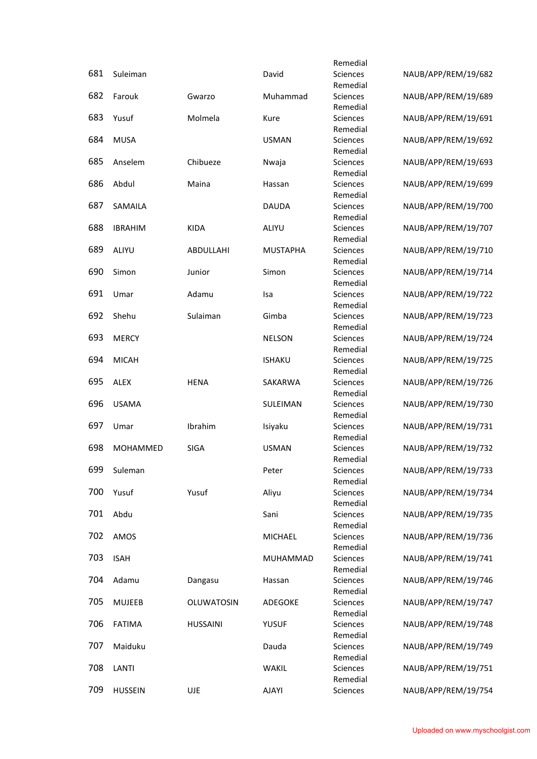|     |                |                 |                 | Remedial             |                     |
|-----|----------------|-----------------|-----------------|----------------------|---------------------|
| 681 | Suleiman       |                 | David           | Sciences             | NAUB/APP/REM/19/682 |
|     |                |                 |                 | Remedial             |                     |
| 682 | Farouk         | Gwarzo          | Muhammad        | Sciences             | NAUB/APP/REM/19/689 |
| 683 | Yusuf          | Molmela         | Kure            | Remedial<br>Sciences | NAUB/APP/REM/19/691 |
|     |                |                 |                 | Remedial             |                     |
| 684 | <b>MUSA</b>    |                 | <b>USMAN</b>    | Sciences             | NAUB/APP/REM/19/692 |
|     |                |                 |                 | Remedial             |                     |
| 685 | Anselem        | Chibueze        | Nwaja           | Sciences             | NAUB/APP/REM/19/693 |
|     |                |                 |                 | Remedial             |                     |
| 686 | Abdul          | Maina           | Hassan          | Sciences             | NAUB/APP/REM/19/699 |
|     |                |                 |                 | Remedial             |                     |
| 687 | SAMAILA        |                 | <b>DAUDA</b>    | Sciences             | NAUB/APP/REM/19/700 |
| 688 | <b>IBRAHIM</b> | <b>KIDA</b>     | ALIYU           | Remedial<br>Sciences | NAUB/APP/REM/19/707 |
|     |                |                 |                 | Remedial             |                     |
| 689 | ALIYU          | ABDULLAHI       | <b>MUSTAPHA</b> | Sciences             | NAUB/APP/REM/19/710 |
|     |                |                 |                 | Remedial             |                     |
| 690 | Simon          | Junior          | Simon           | Sciences             | NAUB/APP/REM/19/714 |
|     |                |                 |                 | Remedial             |                     |
| 691 | Umar           | Adamu           | Isa             | Sciences             | NAUB/APP/REM/19/722 |
|     |                |                 |                 | Remedial             |                     |
| 692 | Shehu          | Sulaiman        | Gimba           | Sciences             | NAUB/APP/REM/19/723 |
| 693 | <b>MERCY</b>   |                 | <b>NELSON</b>   | Remedial<br>Sciences | NAUB/APP/REM/19/724 |
|     |                |                 |                 | Remedial             |                     |
| 694 | <b>MICAH</b>   |                 | <b>ISHAKU</b>   | Sciences             | NAUB/APP/REM/19/725 |
|     |                |                 |                 | Remedial             |                     |
| 695 | <b>ALEX</b>    | <b>HENA</b>     | SAKARWA         | Sciences             | NAUB/APP/REM/19/726 |
|     |                |                 |                 | Remedial             |                     |
| 696 | <b>USAMA</b>   |                 | SULEIMAN        | Sciences             | NAUB/APP/REM/19/730 |
| 697 |                |                 |                 | Remedial             |                     |
|     | Umar           | Ibrahim         | Isiyaku         | Sciences<br>Remedial | NAUB/APP/REM/19/731 |
| 698 | MOHAMMED       | <b>SIGA</b>     | <b>USMAN</b>    | Sciences             | NAUB/APP/REM/19/732 |
|     |                |                 |                 | Remedial             |                     |
| 699 | Suleman        |                 | Peter           | Sciences             | NAUB/APP/REM/19/733 |
|     |                |                 |                 | Remedial             |                     |
| 700 | Yusuf          | Yusuf           | Aliyu           | Sciences             | NAUB/APP/REM/19/734 |
|     |                |                 |                 | Remedial             |                     |
| 701 | Abdu           |                 | Sani            | Sciences             | NAUB/APP/REM/19/735 |
| 702 | AMOS           |                 | MICHAEL         | Remedial<br>Sciences | NAUB/APP/REM/19/736 |
|     |                |                 |                 | Remedial             |                     |
| 703 | <b>ISAH</b>    |                 | MUHAMMAD        | Sciences             | NAUB/APP/REM/19/741 |
|     |                |                 |                 | Remedial             |                     |
| 704 | Adamu          | Dangasu         | Hassan          | Sciences             | NAUB/APP/REM/19/746 |
|     |                |                 |                 | Remedial             |                     |
| 705 | <b>MUJEEB</b>  | OLUWATOSIN      | ADEGOKE         | Sciences             | NAUB/APP/REM/19/747 |
|     |                |                 |                 | Remedial             |                     |
| 706 | <b>FATIMA</b>  | <b>HUSSAINI</b> | <b>YUSUF</b>    | Sciences<br>Remedial | NAUB/APP/REM/19/748 |
| 707 | Maiduku        |                 | Dauda           | Sciences             | NAUB/APP/REM/19/749 |
|     |                |                 |                 | Remedial             |                     |
| 708 | LANTI          |                 | WAKIL           | Sciences             | NAUB/APP/REM/19/751 |
|     |                |                 |                 | Remedial             |                     |
| 709 | <b>HUSSEIN</b> | UJE             | <b>AJAYI</b>    | Sciences             | NAUB/APP/REM/19/754 |
|     |                |                 |                 |                      |                     |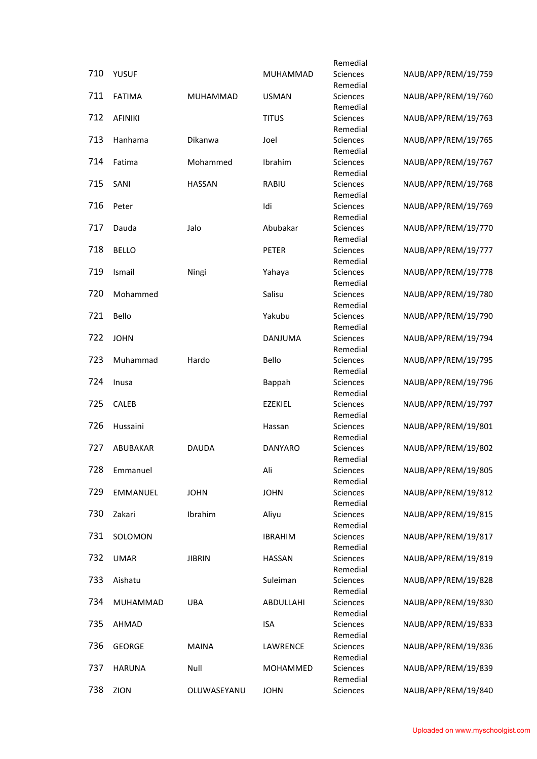|     |                |               |                 | Remedial             |                     |
|-----|----------------|---------------|-----------------|----------------------|---------------------|
| 710 | <b>YUSUF</b>   |               | <b>MUHAMMAD</b> | Sciences             | NAUB/APP/REM/19/759 |
|     |                |               |                 | Remedial             |                     |
| 711 | <b>FATIMA</b>  | MUHAMMAD      | <b>USMAN</b>    | <b>Sciences</b>      | NAUB/APP/REM/19/760 |
| 712 | <b>AFINIKI</b> |               | <b>TITUS</b>    | Remedial<br>Sciences | NAUB/APP/REM/19/763 |
|     |                |               |                 | Remedial             |                     |
| 713 | Hanhama        | Dikanwa       | Joel            | Sciences             | NAUB/APP/REM/19/765 |
|     |                |               |                 | Remedial             |                     |
| 714 | Fatima         | Mohammed      | Ibrahim         | Sciences             | NAUB/APP/REM/19/767 |
|     |                |               |                 | Remedial             |                     |
| 715 | SANI           | <b>HASSAN</b> | <b>RABIU</b>    | Sciences<br>Remedial | NAUB/APP/REM/19/768 |
| 716 | Peter          |               | Idi             | Sciences             | NAUB/APP/REM/19/769 |
|     |                |               |                 | Remedial             |                     |
| 717 | Dauda          | Jalo          | Abubakar        | Sciences             | NAUB/APP/REM/19/770 |
|     |                |               |                 | Remedial             |                     |
| 718 | <b>BELLO</b>   |               | PETER           | Sciences             | NAUB/APP/REM/19/777 |
| 719 | Ismail         | Ningi         | Yahaya          | Remedial<br>Sciences | NAUB/APP/REM/19/778 |
|     |                |               |                 | Remedial             |                     |
| 720 | Mohammed       |               | Salisu          | Sciences             | NAUB/APP/REM/19/780 |
|     |                |               |                 | Remedial             |                     |
| 721 | Bello          |               | Yakubu          | Sciences             | NAUB/APP/REM/19/790 |
|     |                |               |                 | Remedial             |                     |
| 722 | <b>JOHN</b>    |               | DANJUMA         | Sciences<br>Remedial | NAUB/APP/REM/19/794 |
| 723 | Muhammad       | Hardo         | Bello           | Sciences             | NAUB/APP/REM/19/795 |
|     |                |               |                 | Remedial             |                     |
| 724 | Inusa          |               | Bappah          | Sciences             | NAUB/APP/REM/19/796 |
|     |                |               |                 | Remedial             |                     |
| 725 | CALEB          |               | <b>EZEKIEL</b>  | Sciences             | NAUB/APP/REM/19/797 |
| 726 | Hussaini       |               | Hassan          | Remedial<br>Sciences | NAUB/APP/REM/19/801 |
|     |                |               |                 | Remedial             |                     |
| 727 | ABUBAKAR       | <b>DAUDA</b>  | <b>DANYARO</b>  | Sciences             | NAUB/APP/REM/19/802 |
|     |                |               |                 | Remedial             |                     |
| 728 | Emmanuel       |               | Ali             | Sciences             | NAUB/APP/REM/19/805 |
|     |                |               |                 | Remedial             |                     |
| 729 | EMMANUEL       | <b>JOHN</b>   | <b>JOHN</b>     | Sciences<br>Remedial | NAUB/APP/REM/19/812 |
| 730 | Zakari         | Ibrahim       | Aliyu           | Sciences             | NAUB/APP/REM/19/815 |
|     |                |               |                 | Remedial             |                     |
| 731 | SOLOMON        |               | <b>IBRAHIM</b>  | Sciences             | NAUB/APP/REM/19/817 |
|     |                |               |                 | Remedial             |                     |
| 732 | <b>UMAR</b>    | <b>JIBRIN</b> | <b>HASSAN</b>   | Sciences             | NAUB/APP/REM/19/819 |
| 733 | Aishatu        |               | Suleiman        | Remedial<br>Sciences | NAUB/APP/REM/19/828 |
|     |                |               |                 | Remedial             |                     |
| 734 | MUHAMMAD       | UBA           | ABDULLAHI       | Sciences             | NAUB/APP/REM/19/830 |
|     |                |               |                 | Remedial             |                     |
| 735 | AHMAD          |               | <b>ISA</b>      | Sciences             | NAUB/APP/REM/19/833 |
|     |                |               |                 | Remedial             |                     |
| 736 | <b>GEORGE</b>  | <b>MAINA</b>  | LAWRENCE        | Sciences<br>Remedial | NAUB/APP/REM/19/836 |
| 737 | <b>HARUNA</b>  | Null          | MOHAMMED        | Sciences             | NAUB/APP/REM/19/839 |
|     |                |               |                 | Remedial             |                     |
| 738 | ZION           | OLUWASEYANU   | <b>JOHN</b>     | Sciences             | NAUB/APP/REM/19/840 |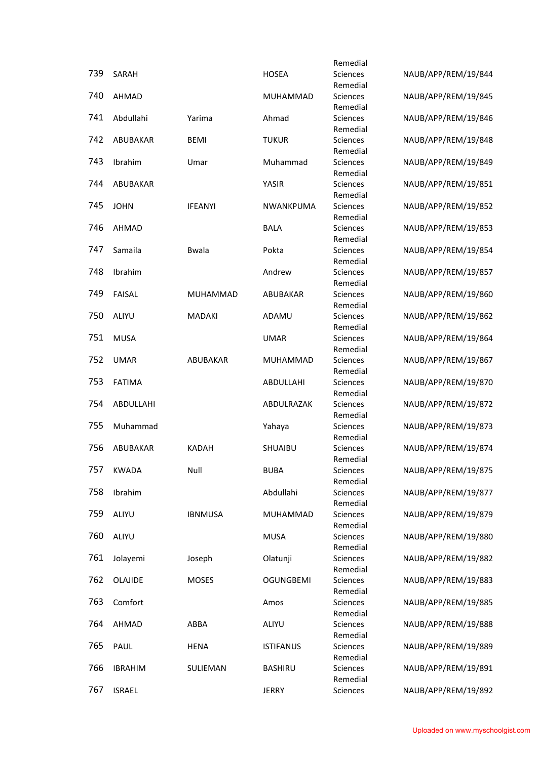|     |                |                |                  | Remedial             |                     |
|-----|----------------|----------------|------------------|----------------------|---------------------|
| 739 | SARAH          |                | <b>HOSEA</b>     | Sciences             | NAUB/APP/REM/19/844 |
|     |                |                |                  | Remedial             |                     |
| 740 | AHMAD          |                | MUHAMMAD         | Sciences<br>Remedial | NAUB/APP/REM/19/845 |
| 741 | Abdullahi      | Yarima         | Ahmad            | Sciences             | NAUB/APP/REM/19/846 |
|     |                |                |                  | Remedial             |                     |
| 742 | ABUBAKAR       | <b>BEMI</b>    | <b>TUKUR</b>     | Sciences             | NAUB/APP/REM/19/848 |
| 743 |                |                |                  | Remedial             |                     |
|     | Ibrahim        | Umar           | Muhammad         | Sciences<br>Remedial | NAUB/APP/REM/19/849 |
| 744 | ABUBAKAR       |                | YASIR            | Sciences             | NAUB/APP/REM/19/851 |
|     |                |                |                  | Remedial             |                     |
| 745 | <b>JOHN</b>    | <b>IFEANYI</b> | NWANKPUMA        | Sciences             | NAUB/APP/REM/19/852 |
| 746 | AHMAD          |                | <b>BALA</b>      | Remedial<br>Sciences | NAUB/APP/REM/19/853 |
|     |                |                |                  | Remedial             |                     |
| 747 | Samaila        | <b>Bwala</b>   | Pokta            | Sciences             | NAUB/APP/REM/19/854 |
|     |                |                |                  | Remedial             |                     |
| 748 | Ibrahim        |                | Andrew           | Sciences             | NAUB/APP/REM/19/857 |
| 749 | <b>FAISAL</b>  | MUHAMMAD       | ABUBAKAR         | Remedial<br>Sciences | NAUB/APP/REM/19/860 |
|     |                |                |                  | Remedial             |                     |
| 750 | ALIYU          | <b>MADAKI</b>  | ADAMU            | <b>Sciences</b>      | NAUB/APP/REM/19/862 |
|     |                |                |                  | Remedial             |                     |
| 751 | <b>MUSA</b>    |                | <b>UMAR</b>      | Sciences             | NAUB/APP/REM/19/864 |
| 752 | <b>UMAR</b>    | ABUBAKAR       | MUHAMMAD         | Remedial<br>Sciences | NAUB/APP/REM/19/867 |
|     |                |                |                  | Remedial             |                     |
| 753 | <b>FATIMA</b>  |                | ABDULLAHI        | Sciences             | NAUB/APP/REM/19/870 |
|     |                |                |                  | Remedial             |                     |
| 754 | ABDULLAHI      |                | ABDULRAZAK       | Sciences<br>Remedial | NAUB/APP/REM/19/872 |
| 755 | Muhammad       |                | Yahaya           | Sciences             | NAUB/APP/REM/19/873 |
|     |                |                |                  | Remedial             |                     |
| 756 | ABUBAKAR       | <b>KADAH</b>   | SHUAIBU          | Sciences             | NAUB/APP/REM/19/874 |
|     |                |                |                  | Remedial             |                     |
| 757 | <b>KWADA</b>   | Null           | <b>BUBA</b>      | Sciences<br>Remedial | NAUB/APP/REM/19/875 |
| 758 | Ibrahim        |                | Abdullahi        | Sciences             | NAUB/APP/REM/19/877 |
|     |                |                |                  | Remedial             |                     |
| 759 | ALIYU          | <b>IBNMUSA</b> | MUHAMMAD         | Sciences             | NAUB/APP/REM/19/879 |
| 760 | ALIYU          |                | <b>MUSA</b>      | Remedial<br>Sciences | NAUB/APP/REM/19/880 |
|     |                |                |                  | Remedial             |                     |
| 761 | Jolayemi       | Joseph         | Olatunji         | Sciences             | NAUB/APP/REM/19/882 |
|     |                |                |                  | Remedial             |                     |
| 762 | OLAJIDE        | <b>MOSES</b>   | <b>OGUNGBEMI</b> | Sciences             | NAUB/APP/REM/19/883 |
| 763 | Comfort        |                | Amos             | Remedial<br>Sciences | NAUB/APP/REM/19/885 |
|     |                |                |                  | Remedial             |                     |
| 764 | AHMAD          | ABBA           | ALIYU            | Sciences             | NAUB/APP/REM/19/888 |
|     |                |                |                  | Remedial             |                     |
| 765 | PAUL           | <b>HENA</b>    | <b>ISTIFANUS</b> | Sciences             | NAUB/APP/REM/19/889 |
| 766 | <b>IBRAHIM</b> | SULIEMAN       | <b>BASHIRU</b>   | Remedial<br>Sciences | NAUB/APP/REM/19/891 |
|     |                |                |                  | Remedial             |                     |
| 767 | <b>ISRAEL</b>  |                | <b>JERRY</b>     | Sciences             | NAUB/APP/REM/19/892 |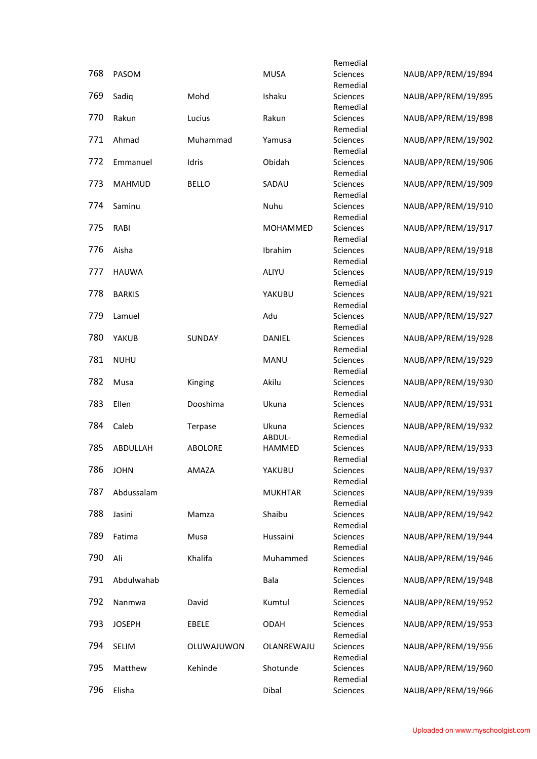|     |               |                |                | Remedial             |                     |
|-----|---------------|----------------|----------------|----------------------|---------------------|
| 768 | PASOM         |                | <b>MUSA</b>    | Sciences             | NAUB/APP/REM/19/894 |
|     |               |                |                | Remedial             |                     |
| 769 | Sadiq         | Mohd           | Ishaku         | Sciences             | NAUB/APP/REM/19/895 |
|     |               |                |                | Remedial             |                     |
| 770 | Rakun         | Lucius         | Rakun          | Sciences<br>Remedial | NAUB/APP/REM/19/898 |
| 771 | Ahmad         | Muhammad       | Yamusa         | Sciences             | NAUB/APP/REM/19/902 |
|     |               |                |                | Remedial             |                     |
| 772 | Emmanuel      | Idris          | Obidah         | Sciences             | NAUB/APP/REM/19/906 |
|     |               |                |                | Remedial             |                     |
| 773 | <b>MAHMUD</b> | <b>BELLO</b>   | SADAU          | Sciences             | NAUB/APP/REM/19/909 |
|     |               |                |                | Remedial             |                     |
| 774 | Saminu        |                | Nuhu           | Sciences             | NAUB/APP/REM/19/910 |
|     |               |                |                | Remedial             |                     |
| 775 | RABI          |                | MOHAMMED       | Sciences             | NAUB/APP/REM/19/917 |
|     |               |                |                | Remedial             |                     |
| 776 | Aisha         |                | Ibrahim        | Sciences             | NAUB/APP/REM/19/918 |
|     |               |                |                | Remedial             |                     |
| 777 | <b>HAUWA</b>  |                | ALIYU          | Sciences             | NAUB/APP/REM/19/919 |
| 778 | <b>BARKIS</b> |                | YAKUBU         | Remedial<br>Sciences | NAUB/APP/REM/19/921 |
|     |               |                |                | Remedial             |                     |
| 779 | Lamuel        |                | Adu            | Sciences             | NAUB/APP/REM/19/927 |
|     |               |                |                | Remedial             |                     |
| 780 | YAKUB         | SUNDAY         | DANIEL         | Sciences             | NAUB/APP/REM/19/928 |
|     |               |                |                | Remedial             |                     |
| 781 | <b>NUHU</b>   |                | MANU           | Sciences             | NAUB/APP/REM/19/929 |
|     |               |                |                | Remedial             |                     |
| 782 | Musa          | Kinging        | Akilu          | Sciences             | NAUB/APP/REM/19/930 |
|     |               |                |                | Remedial             |                     |
| 783 | Ellen         | Dooshima       | Ukuna          | Sciences             | NAUB/APP/REM/19/931 |
|     |               |                |                | Remedial             |                     |
| 784 | Caleb         | Terpase        | Ukuna          | Sciences             | NAUB/APP/REM/19/932 |
|     |               |                | ABDUL-         | Remedial             |                     |
| 785 | ABDULLAH      | <b>ABOLORE</b> | <b>HAMMED</b>  | Sciences             | NAUB/APP/REM/19/933 |
| 786 | <b>JOHN</b>   | AMAZA          | YAKUBU         | Remedial             | NAUB/APP/REM/19/937 |
|     |               |                |                | Sciences<br>Remedial |                     |
| 787 | Abdussalam    |                | <b>MUKHTAR</b> | Sciences             | NAUB/APP/REM/19/939 |
|     |               |                |                | Remedial             |                     |
| 788 | Jasini        | Mamza          | Shaibu         | Sciences             | NAUB/APP/REM/19/942 |
|     |               |                |                | Remedial             |                     |
| 789 | Fatima        | Musa           | Hussaini       | Sciences             | NAUB/APP/REM/19/944 |
|     |               |                |                | Remedial             |                     |
| 790 | Ali           | Khalifa        | Muhammed       | Sciences             | NAUB/APP/REM/19/946 |
|     |               |                |                | Remedial             |                     |
| 791 | Abdulwahab    |                | Bala           | Sciences             | NAUB/APP/REM/19/948 |
|     |               |                |                | Remedial             |                     |
| 792 | Nanmwa        | David          | Kumtul         | Sciences             | NAUB/APP/REM/19/952 |
|     |               |                |                | Remedial             |                     |
| 793 | <b>JOSEPH</b> | EBELE          | <b>ODAH</b>    | Sciences             | NAUB/APP/REM/19/953 |
| 794 | SELIM         |                | OLANREWAJU     | Remedial<br>Sciences | NAUB/APP/REM/19/956 |
|     |               | OLUWAJUWON     |                | Remedial             |                     |
| 795 | Matthew       | Kehinde        | Shotunde       | Sciences             | NAUB/APP/REM/19/960 |
|     |               |                |                | Remedial             |                     |
| 796 | Elisha        |                | Dibal          | Sciences             | NAUB/APP/REM/19/966 |
|     |               |                |                |                      |                     |